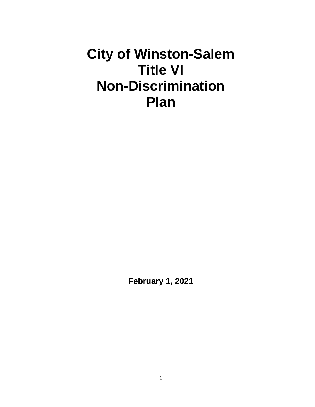# **City of Winston-Salem Title VI Non-Discrimination Plan**

**February 1, 2021**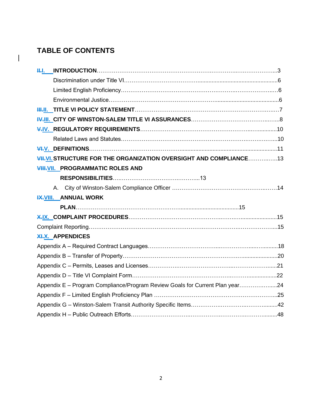# **TABLE OF CONTENTS**

 $\overline{\phantom{a}}$ 

| <b>H.I.</b>                                                                  |  |
|------------------------------------------------------------------------------|--|
|                                                                              |  |
|                                                                              |  |
|                                                                              |  |
|                                                                              |  |
|                                                                              |  |
|                                                                              |  |
|                                                                              |  |
|                                                                              |  |
| <b>VII.VI. STRUCTURE FOR THE ORGANIZATION OVERSIGHT AND COMPLIANCE13</b>     |  |
| VIII. PROGRAMMATIC ROLES AND                                                 |  |
|                                                                              |  |
|                                                                              |  |
| <b>IX.VIII. ANNUAL WORK</b>                                                  |  |
|                                                                              |  |
|                                                                              |  |
|                                                                              |  |
| <b>XI.X. APPENDICES</b>                                                      |  |
|                                                                              |  |
|                                                                              |  |
|                                                                              |  |
|                                                                              |  |
| Appendix E - Program Compliance/Program Review Goals for Current Plan year24 |  |
|                                                                              |  |
|                                                                              |  |
|                                                                              |  |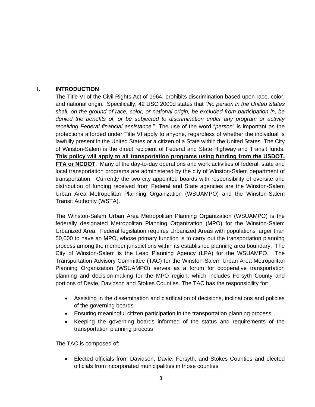# **I. INTRODUCTION**

The Title VI of the Civil Rights Act of 1964, prohibits discrimination based upon race, color, and national origin. Specifically, 42 USC 2000d states that *"No person in the United States shall, on the ground of race, color, or national origin, be excluded from participation in, be denied the benefits of, or be subjected to discrimination under any program or activity receiving Federal financial assistance.*" The use of the word "*person*" is important as the protections afforded under Title VI apply to anyone, regardless of whether the individual is lawfully present in the United States or a citizen of a State within the United States. The City of Winston-Salem is the direct recipient of Federal and State Highway and Transit funds. **This policy will apply to all transportation programs using funding from the USDOT, FTA or NCDOT**. Many of the day-to-day operations and work activities of federal, state and local transportation programs are administered by the city of Winston-Salem department of transportation. Currently the two city appointed boards with responsibility of oversite and distribution of funding received from Federal and State agencies are the Winston-Salem Urban Area Metropolitan Planning Organization (WSUAMPO) and the Winston-Salem Transit Authority (WSTA).

The Winston-Salem Urban Area Metropolitan Planning Organization (WSUAMPO) is the federally designated Metropolitan Planning Organization (MPO) for the Winston-Salem Urbanized Area. Federal legislation requires Urbanized Areas with populations larger than 50,000 to have an MPO, whose primary function is to carry out the transportation planning process among the member jurisdictions within its established planning area boundary. The City of Winston-Salem is the Lead Planning Agency (LPA) for the WSUAMPO. The Transportation Advisory Committee (TAC) for the Winston-Salem Urban Area Metropolitan Planning Organization (WSUAMPO) serves as a forum for cooperative transportation planning and decision-making for the MPO region, which includes Forsyth County and portions of Davie, Davidson and Stokes Counties. The TAC has the responsibility for:

- Assisting in the dissemination and clarification of decisions, inclinations and policies of the governing boards
- Ensuring meaningful citizen participation in the transportation planning process
- Keeping the governing boards informed of the status and requirements of the transportation planning process

The TAC is composed of:

• Elected officials from Davidson, Davie, Forsyth, and Stokes Counties and elected officials from incorporated municipalities in those counties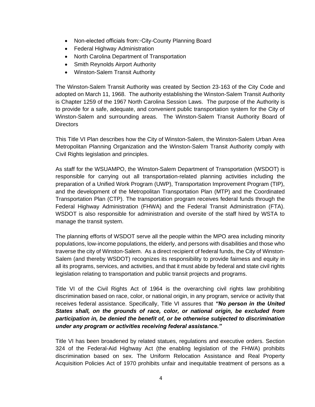- Non-elected officials from:◦City-County Planning Board
- Federal Highway Administration
- North Carolina Department of Transportation
- Smith Reynolds Airport Authority
- Winston-Salem Transit Authority

The Winston-Salem Transit Authority was created by Section 23-163 of the City Code and adopted on March 11, 1968. The authority establishing the Winston-Salem Transit Authority is Chapter 1259 of the 1967 North Carolina Session Laws. The purpose of the Authority is to provide for a safe, adequate, and convenient public transportation system for the City of Winston-Salem and surrounding areas. The Winston-Salem Transit Authority Board of **Directors** 

This Title VI Plan describes how the City of Winston-Salem, the Winston-Salem Urban Area Metropolitan Planning Organization and the Winston-Salem Transit Authority comply with Civil Rights legislation and principles.

As staff for the WSUAMPO, the Winston-Salem Department of Transportation (WSDOT) is responsible for carrying out all transportation-related planning activities including the preparation of a Unified Work Program (UWP), Transportation Improvement Program (TIP), and the development of the Metropolitan Transportation Plan (MTP) and the Coordinated Transportation Plan (CTP). The transportation program receives federal funds through the Federal Highway Administration (FHWA) and the Federal Transit Administration (FTA). WSDOT is also responsible for administration and oversite of the staff hired by WSTA to manage the transit system.

The planning efforts of WSDOT serve all the people within the MPO area including minority populations, low-income populations, the elderly, and persons with disabilities and those who traverse the city of Winston-Salem. As a direct recipient of federal funds, the City of Winston-Salem (and thereby WSDOT) recognizes its responsibility to provide fairness and equity in all its programs, services, and activities, and that it must abide by federal and state civil rights legislation relating to transportation and public transit projects and programs.

Title VI of the Civil Rights Act of 1964 is the overarching civil rights law prohibiting discrimination based on race, color, or national origin, in any program, service or activity that receives federal assistance. Specifically, Title VI assures that *"No person in the United States shall, on the grounds of race, color, or national origin, be excluded from participation in, be denied the benefit of, or be otherwise subjected to discrimination under any program or activities receiving federal assistance."*

Title VI has been broadened by related statues, regulations and executive orders. Section 324 of the Federal-Aid Highway Act (the enabling legislation of the FHWA) prohibits discrimination based on sex. The Uniform Relocation Assistance and Real Property Acquisition Policies Act of 1970 prohibits unfair and inequitable treatment of persons as a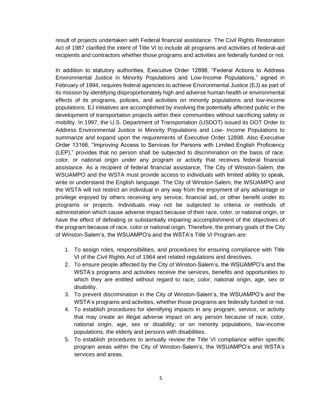result of projects undertaken with Federal financial assistance. The Civil Rights Restoration Act of 1987 clarified the intent of Title VI to include all programs and activities of federal-aid recipients and contractors whether those programs and activities are federally funded or not.

In addition to statutory authorities, Executive Order 12898, "Federal Actions to Address Environmental Justice in Minority Populations and Low-Income Populations," signed in February of 1994, requires federal agencies to achieve Environmental Justice (EJ) as part of its mission by identifying disproportionately high and adverse human health or environmental effects of its programs, policies, and activities on minority populations and low-income populations. EJ initiatives are accomplished by involving the potentially affected public in the development of transportation projects within their communities without sacrificing safety or mobility. In 1997, the U.S. Department of Transportation (USDOT) issued its DOT Order to Address Environmental Justice in Minority Populations and Low- Income Populations to summarize and expand upon the requirements of Executive Order 12898. Also Executive Order 13166, "Improving Access to Services for Persons with Limited English Proficiency (LEP)," provides that no person shall be subjected to discrimination on the basis of race, color, or national origin under any program or activity that receives federal financial assistance. As a recipient of federal financial assistance, The City of Winston-Salem, the WSUAMPO and the WSTA must provide access to individuals with limited ability to speak, write or understand the English language. The City of Winston-Salem, the WSUAMPO and the WSTA will not restrict an individual in any way from the enjoyment of any advantage or privilege enjoyed by others receiving any service, financial aid, or other benefit under its programs or projects. Individuals may not be subjected to criteria or methods of administration which cause adverse impact because of their race, color, or national origin, or have the effect of defeating or substantially impairing accomplishment of the objectives of the program because of race, color or national origin. Therefore, the primary goals of the City of Winston-Salem's, the WSUAMPO's and the WSTA's Title VI Program are:

- 1. To assign roles, responsibilities, and procedures for ensuring compliance with Title VI of the Civil Rights Act of 1964 and related regulations and directives.
- 2. To ensure people affected by the City of Winston-Salem's, the WSUAMPO's and the WSTA's programs and activities receive the services, benefits and opportunities to which they are entitled without regard to race, color, national origin, age, sex or disability.
- 3. To prevent discrimination in the City of Winston-Salem's, the WSUAMPO's and the WSTA's programs and activities, whether those programs are federally funded or not.
- 4. To establish procedures for identifying impacts in any program, service, or activity that may create an illegal adverse impact on any person because of race, color, national origin, age, sex or disability; or on minority populations, low-income populations, the elderly and persons with disabilities.
- 5. To establish procedures to annually review the Title VI compliance within specific program areas within the City of Winston-Salem's, the WSUAMPO's and WSTA's services and areas.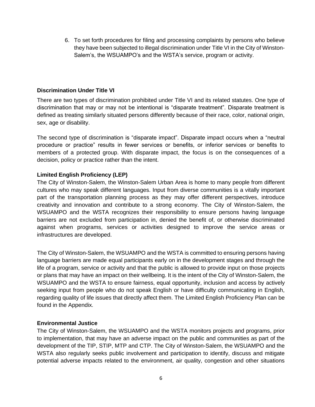6. To set forth procedures for filing and processing complaints by persons who believe they have been subjected to illegal discrimination under Title VI in the City of Winston-Salem's, the WSUAMPO's and the WSTA's service, program or activity.

# **Discrimination Under Title VI**

There are two types of discrimination prohibited under Title VI and its related statutes. One type of discrimination that may or may not be intentional is "disparate treatment". Disparate treatment is defined as treating similarly situated persons differently because of their race, color, national origin, sex, age or disability.

The second type of discrimination is "disparate impact". Disparate impact occurs when a "neutral procedure or practice" results in fewer services or benefits, or inferior services or benefits to members of a protected group. With disparate impact, the focus is on the consequences of a decision, policy or practice rather than the intent.

# **Limited English Proficiency (LEP)**

The City of Winston-Salem, the Winston-Salem Urban Area is home to many people from different cultures who may speak different languages. Input from diverse communities is a vitally important part of the transportation planning process as they may offer different perspectives, introduce creativity and innovation and contribute to a strong economy. The City of Winston-Salem, the WSUAMPO and the WSTA recognizes their responsibility to ensure persons having language barriers are not excluded from participation in, denied the benefit of, or otherwise discriminated against when programs, services or activities designed to improve the service areas or infrastructures are developed.

The City of Winston-Salem, the WSUAMPO and the WSTA is committed to ensuring persons having language barriers are made equal participants early on in the development stages and through the life of a program, service or activity and that the public is allowed to provide input on those projects or plans that may have an impact on their wellbeing. It is the intent of the City of Winston-Salem, the WSUAMPO and the WSTA to ensure fairness, equal opportunity, inclusion and access by actively seeking input from people who do not speak English or have difficulty communicating in English, regarding quality of life issues that directly affect them. The Limited English Proficiency Plan can be found in the Appendix.

# **Environmental Justice**

The City of Winston-Salem, the WSUAMPO and the WSTA monitors projects and programs, prior to implementation, that may have an adverse impact on the public and communities as part of the development of the TIP, STIP, MTP and CTP. The City of Winston-Salem, the WSUAMPO and the WSTA also regularly seeks public involvement and participation to identify, discuss and mitigate potential adverse impacts related to the environment, air quality, congestion and other situations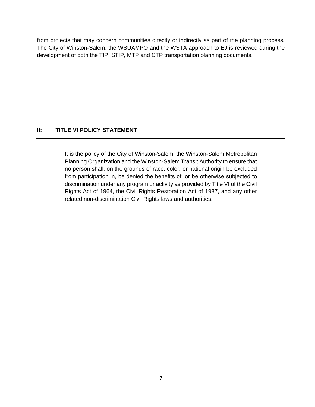from projects that may concern communities directly or indirectly as part of the planning process. The City of Winston-Salem, the WSUAMPO and the WSTA approach to EJ is reviewed during the development of both the TIP, STIP, MTP and CTP transportation planning documents.

# **II: TITLE VI POLICY STATEMENT**

It is the policy of the City of Winston-Salem, the Winston-Salem Metropolitan Planning Organization and the Winston-Salem Transit Authority to ensure that no person shall, on the grounds of race, color, or national origin be excluded from participation in, be denied the benefits of, or be otherwise subjected to discrimination under any program or activity as provided by Title VI of the Civil Rights Act of 1964, the Civil Rights Restoration Act of 1987, and any other related non-discrimination Civil Rights laws and authorities.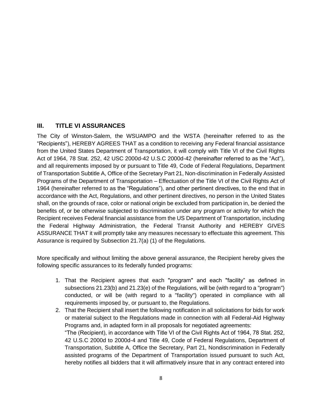# **III. TITLE VI ASSURANCES**

The City of Winston-Salem, the WSUAMPO and the WSTA (hereinafter referred to as the "Recipients"), HEREBY AGREES THAT as a condition to receiving any Federal financial assistance from the United States Department of Transportation, it will comply with Title VI of the Civil Rights Act of 1964, 78 Stat. 252, 42 USC 2000d-42 U.S.C 2000d-42 (hereinafter referred to as the "Act"), and all requirements imposed by or pursuant to Title 49, Code of Federal Regulations, Department of Transportation Subtitle A, Office of the Secretary Part 21, Non-discrimination in Federally Assisted Programs of the Department of Transportation – Effectuation of the Title VI of the Civil Rights Act of 1964 (hereinafter referred to as the "Regulations"), and other pertinent directives, to the end that in accordance with the Act, Regulations, and other pertinent directives, no person in the United States shall, on the grounds of race, color or national origin be excluded from participation in, be denied the benefits of, or be otherwise subjected to discrimination under any program or activity for which the Recipient receives Federal financial assistance from the US Department of Transportation, including the Federal Highway Administration, the Federal Transit Authority and HEREBY GIVES ASSURANCE THAT it will promptly take any measures necessary to effectuate this agreement. This Assurance is required by Subsection 21.7(a) (1) of the Regulations.

More specifically and without limiting the above general assurance, the Recipient hereby gives the following specific assurances to its federally funded programs:

- 1. That the Recipient agrees that each "program" and each "facility" as defined in subsections 21.23(b) and 21.23(e) of the Regulations, will be (with regard to a "program") conducted, or will be (with regard to a "facility") operated in compliance with all requirements imposed by, or pursuant to, the Regulations.
- 2. That the Recipient shall insert the following notification in all solicitations for bids for work or material subject to the Regulations made in connection with all Federal-Aid Highway Programs and, in adapted form in all proposals for negotiated agreements: "The (Recipient), in accordance with Title VI of the Civil Rights Act of 1964, 78 Stat. 252, 42 U.S.C 2000d to 2000d-4 and Title 49, Code of Federal Regulations, Department of Transportation, Subtitle A, Office the Secretary, Part 21, Nondiscrimination in Federally assisted programs of the Department of Transportation issued pursuant to such Act, hereby notifies all bidders that it will affirmatively insure that in any contract entered into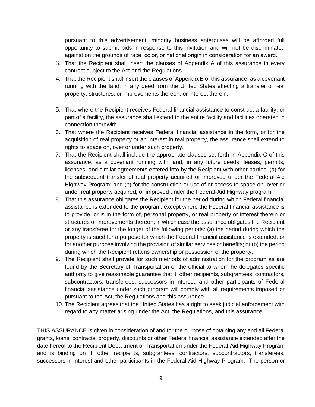pursuant to this advertisement, minority business enterprises will be afforded full opportunity to submit bids in response to this invitation and will not be discriminated against on the grounds of race, color, or national origin in consideration for an award."

- 3. That the Recipient shall insert the clauses of Appendix A of this assurance in every contract subject to the Act and the Regulations.
- 4. That the Recipient shall insert the clauses of Appendix B of this assurance, as a covenant running with the land, in any deed from the United States effecting a transfer of real property, structures, or improvements thereon, or interest therein.
- 5. That where the Recipient receives Federal financial assistance to construct a facility, or part of a facility, the assurance shall extend to the entire facility and facilities operated in connection therewith.
- 6. That where the Recipient receives Federal financial assistance in the form, or for the acquisition of real property or an interest in real property, the assurance shall extend to rights to space on, over or under such property.
- 7. That the Recipient shall include the appropriate clauses set forth in Appendix C of this assurance, as a covenant running with land, in any future deeds, leases, permits, licenses, and similar agreements entered into by the Recipient with other parties: (a) for the subsequent transfer of real property acquired or improved under the Federal-Aid Highway Program; and (b) for the construction or use of or access to space on, over or under real property acquired, or improved under the Federal-Aid Highway program.
- 8. That this assurance obligates the Recipient for the period during which Federal financial assistance is extended to the program, except where the Federal financial assistance is to provide, or is in the form of, personal property, or real property or interest therein or structures or improvements thereon, in which case the assurance obligates the Recipient or any transferee for the longer of the following periods: (a) the period during which the property is sued for a purpose for which the Federal financial assistance is extended, or for another purpose involving the provision of similar services or benefits; or (b) the period during which the Recipient retains ownership or possession of the property.
- 9. The Recipient shall provide for such methods of administration for the program as are found by the Secretary of Transportation or the official to whom he delegates specific authority to give reasonable guarantee that it, other recipients, subgrantees, contractors, subcontractors, transferees, successors in interest, and other participants of Federal financial assistance under such program will comply with all requirements imposed or pursuant to the Act, the Regulations and this assurance.
- 10. The Recipient agrees that the United States has a right to seek judicial enforcement with regard to any matter arising under the Act, the Regulations, and this assurance.

THIS ASSURANCE is given in consideration of and for the purpose of obtaining any and all Federal grants, loans, contracts, property, discounts or other Federal financial assistance extended after the date hereof to the Recipient Department of Transportation under the Federal-Aid Highway Program and is binding on it, other recipients, subgrantees, contractors, subcontractors, transferees, successors in interest and other participants in the Federal-Aid Highway Program. The person or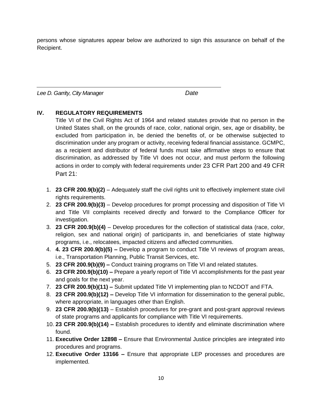persons whose signatures appear below are authorized to sign this assurance on behalf of the Recipient.

*Lee D. Garrity, City Manager Date*

# **IV. REGULATORY REQUIREMENTS**

Title VI of the Civil Rights Act of 1964 and related statutes provide that no person in the United States shall, on the grounds of race, color, national origin, sex, age or disability, be excluded from participation in, be denied the benefits of, or be otherwise subjected to discrimination under any program or activity, receiving federal financial assistance. GCMPC, as a recipient and distributor of federal funds must take affirmative steps to ensure that discrimination, as addressed by Title VI does not occur, and must perform the following actions in order to comply with federal requirements under 23 CFR Part 200 and 49 CFR Part 21:

- 1. **23 CFR 200.9(b)(2)**  Adequately staff the civil rights unit to effectively implement state civil rights requirements.
- 2. **23 CFR 200.9(b)(3)**  Develop procedures for prompt processing and disposition of Title VI and Title VII complaints received directly and forward to the Compliance Officer for investigation.
- 3. **23 CFR 200.9(b)(4)**  Develop procedures for the collection of statistical data (race, color, religion, sex and national origin) of participants in, and beneficiaries of state highway programs, i.e., relocatees, impacted citizens and affected communities.
- 4. **4. 23 CFR 200.9(b)(5) –** Develop a program to conduct Title VI reviews of program areas, i.e., Transportation Planning, Public Transit Services, etc.
- 5. **23 CFR 200.9(b)(9) –** Conduct training programs on Title VI and related statutes.
- 6. **23 CFR 200.9(b)(10) –** Prepare a yearly report of Title VI accomplishments for the past year and goals for the next year.
- 7. **23 CFR 200.9(b)(11) –** Submit updated Title VI implementing plan to NCDOT and FTA.
- 8. **23 CFR 200.9(b)(12) –** Develop Title VI information for dissemination to the general public, where appropriate, in languages other than English.
- 9. **23 CFR 200.9(b)(13)**  Establish procedures for pre-grant and post-grant approval reviews of state programs and applicants for compliance with Title VI requirements.
- 10. **23 CFR 200.9(b)(14) –** Establish procedures to identify and eliminate discrimination where found.
- 11. **Executive Order 12898 –** Ensure that Environmental Justice principles are integrated into procedures and programs.
- 12. **Executive Order 13166 –** Ensure that appropriate LEP processes and procedures are implemented.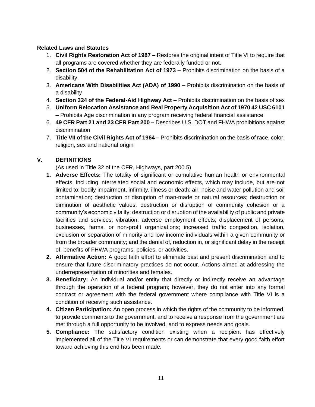# **Related Laws and Statutes**

- 1. **Civil Rights Restoration Act of 1987 –** Restores the original intent of Title VI to require that all programs are covered whether they are federally funded or not.
- 2. **Section 504 of the Rehabilitation Act of 1973 –** Prohibits discrimination on the basis of a disability.
- 3. **Americans With Disabilities Act (ADA) of 1990 –** Prohibits discrimination on the basis of a disability
- 4. **Section 324 of the Federal-Aid Highway Act –** Prohibits discrimination on the basis of sex
- 5. **Uniform Relocation Assistance and Real Property Acquisition Act of 1970 42 USC 6101 –** Prohibits Age discrimination in any program receiving federal financial assistance
- 6. **49 CFR Part 21 and 23 CFR Part 200 –** Describes U.S. DOT and FHWA prohibitions against discrimination
- 7. **Title VII of the Civil Rights Act of 1964 –** Prohibits discrimination on the basis of race, color, religion, sex and national origin

# **V. DEFINITIONS**

(As used in Title 32 of the CFR, Highways, part 200.5)

- **1. Adverse Effects:** The totality of significant or cumulative human health or environmental effects, including interrelated social and economic effects, which may include, but are not limited to: bodily impairment, infirmity, illness or death; air, noise and water pollution and soil contamination; destruction or disruption of man-made or natural resources; destruction or diminution of aesthetic values; destruction or disruption of community cohesion or a community's economic vitality; destruction or disruption of the availability of public and private facilities and services; vibration; adverse employment effects; displacement of persons, businesses, farms, or non-profit organizations; increased traffic congestion, isolation, exclusion or separation of minority and low income individuals within a given community or from the broader community; and the denial of, reduction in, or significant delay in the receipt of, benefits of FHWA programs, policies, or activities.
- **2. Affirmative Action:** A good faith effort to eliminate past and present discrimination and to ensure that future discriminatory practices do not occur. Actions aimed at addressing the underrepresentation of minorities and females.
- **3. Beneficiary:** An individual and/or entity that directly or indirectly receive an advantage through the operation of a federal program; however, they do not enter into any formal contract or agreement with the federal government where compliance with Title VI is a condition of receiving such assistance.
- **4. Citizen Participation:** An open process in which the rights of the community to be informed, to provide comments to the government, and to receive a response from the government are met through a full opportunity to be involved, and to express needs and goals.
- **5. Compliance:** The satisfactory condition existing when a recipient has effectively implemented all of the Title VI requirements or can demonstrate that every good faith effort toward achieving this end has been made.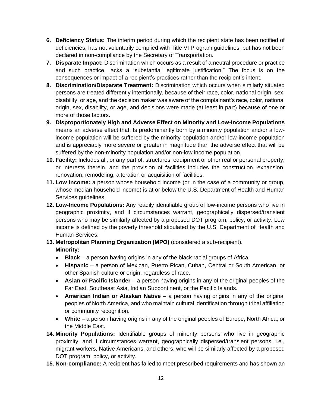- **6. Deficiency Status:** The interim period during which the recipient state has been notified of deficiencies, has not voluntarily complied with Title VI Program guidelines, but has not been declared in non-compliance by the Secretary of Transportation.
- **7. Disparate Impact:** Discrimination which occurs as a result of a neutral procedure or practice and such practice, lacks a "substantial legitimate justification." The focus is on the consequences or impact of a recipient's practices rather than the recipient's intent.
- **8. Discrimination/Disparate Treatment:** Discrimination which occurs when similarly situated persons are treated differently intentionally, because of their race, color, national origin, sex, disability, or age, and the decision maker was aware of the complainant's race, color, national origin, sex, disability, or age, and decisions were made (at least in part) because of one or more of those factors.
- **9. Disproportionately High and Adverse Effect on Minority and Low-Income Populations**  means an adverse effect that: Is predominantly born by a minority population and/or a lowincome population will be suffered by the minority population and/or low-income population and is appreciably more severe or greater in magnitude than the adverse effect that will be suffered by the non-minority population and/or non-low income population.
- **10. Facility:** Includes all, or any part of, structures, equipment or other real or personal property, or interests therein, and the provision of facilities includes the construction, expansion, renovation, remodeling, alteration or acquisition of facilities.
- **11. Low Income:** a person whose household income (or in the case of a community or group, whose median household income) is at or below the U.S. Department of Health and Human Services guidelines.
- **12. Low-Income Populations:** Any readily identifiable group of low-income persons who live in geographic proximity, and if circumstances warrant, geographically dispersed/transient persons who may be similarly affected by a proposed DOT program, policy, or activity. Low income is defined by the poverty threshold stipulated by the U.S. Department of Health and Human Services.

# **13. Metropolitan Planning Organization (MPO)** (considered a sub-recipient). **Minority:**

- **Black**  a person having origins in any of the black racial groups of Africa.
- **Hispanic**  a person of Mexican, Puerto Rican, Cuban, Central or South American, or other Spanish culture or origin, regardless of race.
- **Asian or Pacific Islander**  a person having origins in any of the original peoples of the Far East, Southeast Asia, Indian Subcontinent, or the Pacific Islands.
- **American Indian or Alaskan Native**  a person having origins in any of the original peoples of North America, and who maintain cultural identification through tribal affiliation or community recognition.
- **White**  a person having origins in any of the original peoples of Europe, North Africa, or the Middle East.
- **14. Minority Populations:** Identifiable groups of minority persons who live in geographic proximity, and if circumstances warrant, geographically dispersed/transient persons, i.e., migrant workers, Native Americans, and others, who will be similarly affected by a proposed DOT program, policy, or activity.
- **15. Non-compliance:** A recipient has failed to meet prescribed requirements and has shown an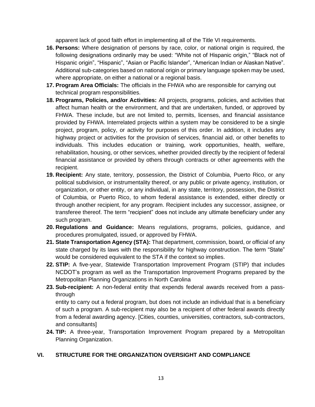apparent lack of good faith effort in implementing all of the Title VI requirements.

- **16. Persons:** Where designation of persons by race, color, or national origin is required, the following designations ordinarily may be used: "White not of Hispanic origin," "Black not of Hispanic origin", "Hispanic", "Asian or Pacific Islander", "American Indian or Alaskan Native". Additional sub-categories based on national origin or primary language spoken may be used, where appropriate, on either a national or a regional basis.
- **17. Program Area Officials:** The officials in the FHWA who are responsible for carrying out technical program responsibilities.
- **18. Programs, Policies, and/or Activities:** All projects, programs, policies, and activities that affect human health or the environment, and that are undertaken, funded, or approved by FHWA. These include, but are not limited to, permits, licenses, and financial assistance provided by FHWA. Interrelated projects within a system may be considered to be a single project, program, policy, or activity for purposes of this order. In addition, it includes any highway project or activities for the provision of services, financial aid, or other benefits to individuals. This includes education or training, work opportunities, health, welfare, rehabilitation, housing, or other services, whether provided directly by the recipient of federal financial assistance or provided by others through contracts or other agreements with the recipient.
- **19. Recipient:** Any state, territory, possession, the District of Columbia, Puerto Rico, or any political subdivision, or instrumentality thereof, or any public or private agency, institution, or organization, or other entity, or any individual, in any state, territory, possession, the District of Columbia, or Puerto Rico, to whom federal assistance is extended, either directly or through another recipient, for any program. Recipient includes any successor, assignee, or transferee thereof. The term "recipient" does not include any ultimate beneficiary under any such program.
- **20. Regulations and Guidance:** Means regulations, programs, policies, guidance, and procedures promulgated, issued, or approved by FHWA.
- **21. State Transportation Agency (STA):** That department, commission, board, or official of any state charged by its laws with the responsibility for highway construction. The term "State" would be considered equivalent to the STA if the context so implies.
- **22. STIP:** A five-year, Statewide Transportation Improvement Program (STIP) that includes NCDOT's program as well as the Transportation Improvement Programs prepared by the Metropolitan Planning Organizations in North Carolina
- **23. Sub-recipient:** A non-federal entity that expends federal awards received from a passthrough

entity to carry out a federal program, but does not include an individual that is a beneficiary of such a program. A sub-recipient may also be a recipient of other federal awards directly from a federal awarding agency. [Cities, counties, universities, contractors, sub-contractors, and consultants]

**24. TIP:** A three-year, Transportation Improvement Program prepared by a Metropolitan Planning Organization.

# **VI. STRUCTURE FOR THE ORGANIZATION OVERSIGHT AND COMPLIANCE**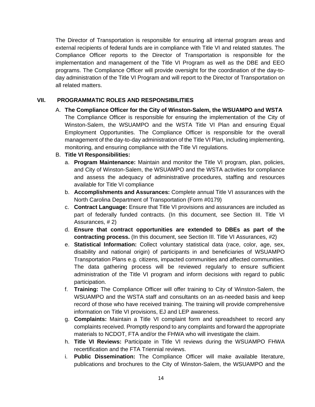The Director of Transportation is responsible for ensuring all internal program areas and external recipients of federal funds are in compliance with Title VI and related statutes. The Compliance Officer reports to the Director of Transportation is responsible for the implementation and management of the Title VI Program as well as the DBE and EEO programs. The Compliance Officer will provide oversight for the coordination of the day-today administration of the Title VI Program and will report to the Director of Transportation on all related matters.

# **VII. PROGRAMMATIC ROLES AND RESPONSIBILITIES**

A. **The Compliance Officer for the City of Winston-Salem, the WSUAMPO and WSTA**  The Compliance Officer is responsible for ensuring the implementation of the City of Winston-Salem, the WSUAMPO and the WSTA Title VI Plan and ensuring Equal Employment Opportunities. The Compliance Officer is responsible for the overall management of the day-to-day administration of the Title VI Plan, including implementing, monitoring, and ensuring compliance with the Title VI regulations.

# B. **Title VI Responsibilities:**

- a. **Program Maintenance:** Maintain and monitor the Title VI program, plan, policies, and City of Winston-Salem, the WSUAMPO and the WSTA activities for compliance and assess the adequacy of administrative procedures, staffing and resources available for Title VI compliance
- b. **Accomplishments and Assurances:** Complete annual Title VI assurances with the North Carolina Department of Transportation (Form #0179)
- c. **Contract Language:** Ensure that Title VI provisions and assurances are included as part of federally funded contracts. (In this document, see Section III. Title VI Assurances, # 2)
- d. **Ensure that contract opportunities are extended to DBEs as part of the contracting process.** (In this document, see Section III. Title VI Assurances, #2)
- e. **Statistical Information:** Collect voluntary statistical data (race, color, age, sex, disability and national origin) of participants in and beneficiaries of WSUAMPO Transportation Plans e.g. citizens, impacted communities and affected communities. The data gathering process will be reviewed regularly to ensure sufficient administration of the Title VI program and inform decisions with regard to public participation.
- f. **Training:** The Compliance Officer will offer training to City of Winston-Salem, the WSUAMPO and the WSTA staff and consultants on an as-needed basis and keep record of those who have received training. The training will provide comprehensive information on Title VI provisions, EJ and LEP awareness.
- g. **Complaints:** Maintain a Title VI complaint form and spreadsheet to record any complaints received. Promptly respond to any complaints and forward the appropriate materials to NCDOT, FTA and/or the FHWA who will investigate the claim.
- h. **Title VI Reviews:** Participate in Title VI reviews during the WSUAMPO FHWA recertification and the FTA Triennial reviews.
- i. **Public Dissemination:** The Compliance Officer will make available literature, publications and brochures to the City of Winston-Salem, the WSUAMPO and the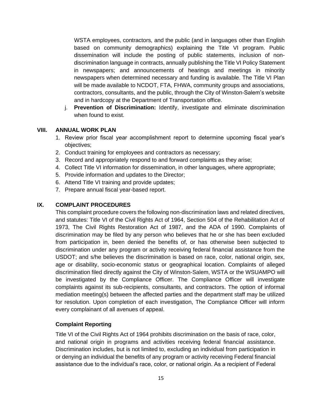WSTA employees, contractors, and the public (and in languages other than English based on community demographics) explaining the Title VI program. Public dissemination will include the posting of public statements, inclusion of nondiscrimination language in contracts, annually publishing the Title VI Policy Statement in newspapers; and announcements of hearings and meetings in minority newspapers when determined necessary and funding is available. The Title VI Plan will be made available to NCDOT, FTA, FHWA, community groups and associations, contractors, consultants, and the public, through the City of Winston-Salem's website and in hardcopy at the Department of Transportation office.

j. **Prevention of Discrimination:** Identify, investigate and eliminate discrimination when found to exist.

# **VIII. ANNUAL WORK PLAN**

- 1. Review prior fiscal year accomplishment report to determine upcoming fiscal year's objectives;
- 2. Conduct training for employees and contractors as necessary;
- 3. Record and appropriately respond to and forward complaints as they arise;
- 4. Collect Title VI information for dissemination, in other languages, where appropriate;
- 5. Provide information and updates to the Director;
- 6. Attend Title VI training and provide updates;
- 7. Prepare annual fiscal year-based report.

# **IX. COMPLAINT PROCEDURES**

This complaint procedure covers the following non-discrimination laws and related directives, and statutes: Title VI of the Civil Rights Act of 1964, Section 504 of the Rehabilitation Act of 1973, The Civil Rights Restoration Act of 1987, and the ADA of 1990. Complaints of discrimination may be filed by any person who believes that he or she has been excluded from participation in, been denied the benefits of, or has otherwise been subjected to discrimination under any program or activity receiving federal financial assistance from the USDOT; and s/he believes the discrimination is based on race, color, national origin, sex, age or disability, socio-economic status or geographical location. Complaints of alleged discrimination filed directly against the City of Winston-Salem, WSTA or the WSUAMPO will be investigated by the Compliance Officer. The Compliance Officer will investigate complaints against its sub-recipients, consultants, and contractors. The option of informal mediation meeting(s) between the affected parties and the department staff may be utilized for resolution. Upon completion of each investigation, The Compliance Officer will inform every complainant of all avenues of appeal.

# **Complaint Reporting**

Title VI of the Civil Rights Act of 1964 prohibits discrimination on the basis of race, color, and national origin in programs and activities receiving federal financial assistance. Discrimination includes, but is not limited to, excluding an individual from participation in or denying an individual the benefits of any program or activity receiving Federal financial assistance due to the individual's race, color, or national origin. As a recipient of Federal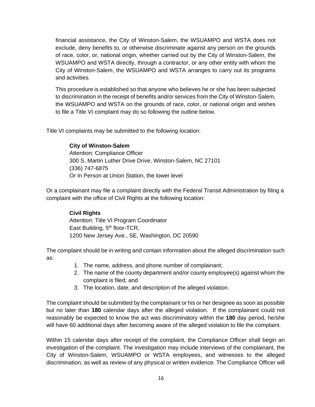financial assistance, the City of Winston-Salem, the WSUAMPO and WSTA does not exclude, deny benefits to, or otherwise discriminate against any person on the grounds of race, color, or, national origin, whether carried out by the City of Winston-Salem, the WSUAMPO and WSTA directly, through a contractor, or any other entity with whom the City of Winston-Salem, the WSUAMPO and WSTA arranges to carry out its programs and activities.

This procedure is established so that anyone who believes he or she has been subjected to discrimination in the receipt of benefits and/or services from the City of Winston-Salem, the WSUAMPO and WSTA on the grounds of race, color, or national origin and wishes to file a Title VI complaint may do so following the outline below.

Title VI complaints may be submitted to the following location:

# **City of Winston-Salem**

Attention: Compliance Officer 300 S. Martin Luther Drive Drive, Winston-Salem, NC 27101 (336) 747-6875 Or In Person at Union Station, the lower level

Or a complainant may file a complaint directly with the Federal Transit Administration by filing a complaint with the office of Civil Rights at the following location:

# **Civil Rights**

Attention: Title VI Program Coordinator East Building, 5<sup>th</sup> floor-TCR, 1200 New Jersey Ave., SE, Washington, DC 20590

The complaint should be in writing and contain information about the alleged discrimination such as:

- 1. The name, address, and phone number of complainant;
- 2. The name of the county department and/or county employee(s) against whom the complaint is filed; and
- 3. The location, date, and description of the alleged violation.

The complaint should be submitted by the complainant or his or her designee as soon as possible but no later than **180** calendar days after the alleged violation. If the complainant could not reasonably be expected to know the act was discriminatory within the **180** day period, he/she will have 60 additional days after becoming aware of the alleged violation to file the complaint.

Within 15 calendar days after receipt of the complaint, the Compliance Officer shall begin an investigation of the complaint. The investigation may include interviews of the complainant, the City of Winston-Salem, WSUAMPO or WSTA employees, and witnesses to the alleged discrimination, as well as review of any physical or written evidence. The Compliance Officer will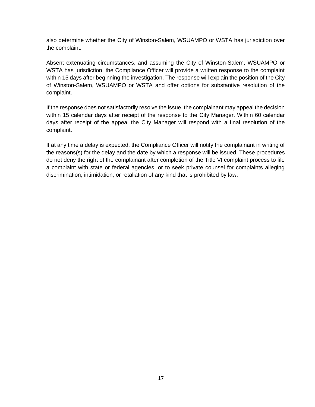also determine whether the City of Winston-Salem, WSUAMPO or WSTA has jurisdiction over the complaint.

Absent extenuating circumstances, and assuming the City of Winston-Salem, WSUAMPO or WSTA has jurisdiction, the Compliance Officer will provide a written response to the complaint within 15 days after beginning the investigation. The response will explain the position of the City of Winston-Salem, WSUAMPO or WSTA and offer options for substantive resolution of the complaint.

If the response does not satisfactorily resolve the issue, the complainant may appeal the decision within 15 calendar days after receipt of the response to the City Manager. Within 60 calendar days after receipt of the appeal the City Manager will respond with a final resolution of the complaint.

If at any time a delay is expected, the Compliance Officer will notify the complainant in writing of the reasons(s) for the delay and the date by which a response will be issued. These procedures do not deny the right of the complainant after completion of the Title VI complaint process to file a complaint with state or federal agencies, or to seek private counsel for complaints alleging discrimination, intimidation, or retaliation of any kind that is prohibited by law.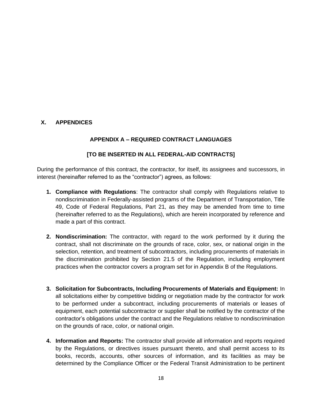# **X. APPENDICES**

# **APPENDIX A – REQUIRED CONTRACT LANGUAGES**

# **[TO BE INSERTED IN ALL FEDERAL-AID CONTRACTS]**

During the performance of this contract, the contractor, for itself, its assignees and successors, in interest (hereinafter referred to as the "contractor") agrees, as follows:

- **1. Compliance with Regulations**: The contractor shall comply with Regulations relative to nondiscrimination in Federally-assisted programs of the Department of Transportation, Title 49, Code of Federal Regulations, Part 21, as they may be amended from time to time (hereinafter referred to as the Regulations), which are herein incorporated by reference and made a part of this contract.
- **2. Nondiscrimination:** The contractor, with regard to the work performed by it during the contract, shall not discriminate on the grounds of race, color, sex, or national origin in the selection, retention, and treatment of subcontractors, including procurements of materials in the discrimination prohibited by Section 21.5 of the Regulation, including employment practices when the contractor covers a program set for in Appendix B of the Regulations.
- **3. Solicitation for Subcontracts, Including Procurements of Materials and Equipment:** In all solicitations either by competitive bidding or negotiation made by the contractor for work to be performed under a subcontract, including procurements of materials or leases of equipment, each potential subcontractor or supplier shall be notified by the contractor of the contractor's obligations under the contract and the Regulations relative to nondiscrimination on the grounds of race, color, or national origin.
- **4. Information and Reports:** The contractor shall provide all information and reports required by the Regulations, or directives issues pursuant thereto, and shall permit access to its books, records, accounts, other sources of information, and its facilities as may be determined by the Compliance Officer or the Federal Transit Administration to be pertinent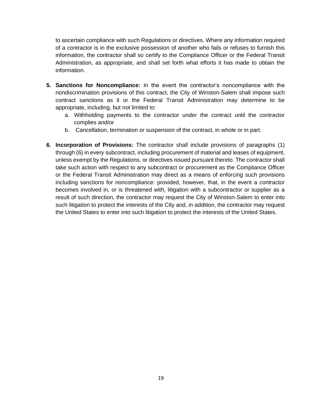to ascertain compliance with such Regulations or directives. Where any information required of a contractor is in the exclusive possession of another who fails or refuses to furnish this information, the contractor shall so certify to the Compliance Officer or the Federal Transit Administration, as appropriate, and shall set forth what efforts it has made to obtain the information.

- **5. Sanctions for Noncompliance:** In the event the contractor's noncompliance with the nondiscrimination provisions of this contract, the City of Winston-Salem shall impose such contract sanctions as it or the Federal Transit Administration may determine to be appropriate, including, but not limited to:
	- a. Withholding payments to the contractor under the contract until the contractor complies and/or
	- b. Cancellation, termination or suspension of the contract, in whole or in part.
- **6. Incorporation of Provisions:** The contractor shall include provisions of paragraphs (1) through (6) in every subcontract, including procurement of material and leases of equipment, unless exempt by the Regulations, or directives issued pursuant thereto. The contractor shall take such action with respect to any subcontract or procurement as the Compliance Officer or the Federal Transit Administration may direct as a means of enforcing such provisions including sanctions for noncompliance: provided, however, that, in the event a contractor becomes involved in, or is threatened with, litigation with a subcontractor or supplier as a result of such direction, the contractor may request the City of Winston-Salem to enter into such litigation to protect the interests of the City and, in addition, the contractor may request the United States to enter into such litigation to protect the interests of the United States.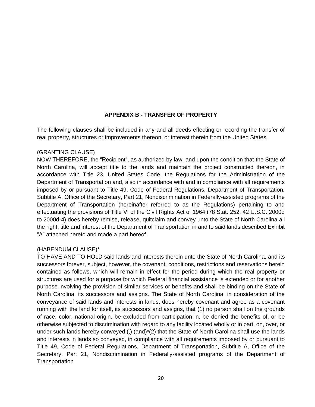# **APPENDIX B - TRANSFER OF PROPERTY**

The following clauses shall be included in any and all deeds effecting or recording the transfer of real property, structures or improvements thereon, or interest therein from the United States.

#### (GRANTING CLAUSE)

NOW THEREFORE, the "Recipient", as authorized by law, and upon the condition that the State of North Carolina, will accept title to the lands and maintain the project constructed thereon, in accordance with Title 23, United States Code, the Regulations for the Administration of the Department of Transportation and, also in accordance with and in compliance with all requirements imposed by or pursuant to Title 49, Code of Federal Regulations, Department of Transportation, Subtitle A, Office of the Secretary, Part 21, Nondiscrimination in Federally-assisted programs of the Department of Transportation (hereinafter referred to as the Regulations) pertaining to and effectuating the provisions of Title VI of the Civil Rights Act of 1964 (78 Stat. 252; 42 U.S.C. 2000d to 2000d-4) does hereby remise, release, quitclaim and convey unto the State of North Carolina all the right, title and interest of the Department of Transportation in and to said lands described Exhibit "A" attached hereto and made a part hereof.

# (HABENDUM CLAUSE)\*

TO HAVE AND TO HOLD said lands and interests therein unto the State of North Carolina, and its successors forever, subject, however, the covenant, conditions, restrictions and reservations herein contained as follows, which will remain in effect for the period during which the real property or structures are used for a purpose for which Federal financial assistance is extended or for another purpose involving the provision of similar services or benefits and shall be binding on the State of North Carolina, its successors and assigns. The State of North Carolina, in consideration of the conveyance of said lands and interests in lands, does hereby covenant and agree as a covenant running with the land for itself, its successors and assigns, that (1) no person shall on the grounds of race, color, national origin, be excluded from participation in, be denied the benefits of, or be otherwise subjected to discrimination with regard to any facility located wholly or in part, on, over, or under such lands hereby conveyed (,)  $(and)^*(2)$  that the State of North Carolina shall use the lands and interests in lands so conveyed, in compliance with all requirements imposed by or pursuant to Title 49, Code of Federal Regulations, Department of Transportation, Subtitle A, Office of the Secretary, Part 21, Nondiscrimination in Federally-assisted programs of the Department of **Transportation**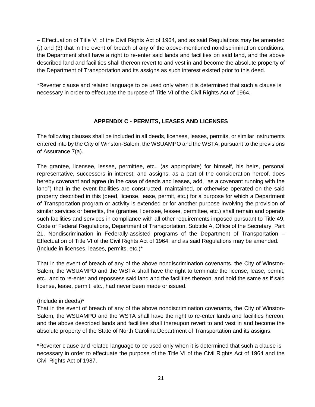– Effectuation of Title VI of the Civil Rights Act of 1964, and as said Regulations may be amended (,) and (3) that in the event of breach of any of the above-mentioned nondiscrimination conditions, the Department shall have a right to re-enter said lands and facilities on said land, and the above described land and facilities shall thereon revert to and vest in and become the absolute property of the Department of Transportation and its assigns as such interest existed prior to this deed.

\*Reverter clause and related language to be used only when it is determined that such a clause is necessary in order to effectuate the purpose of Title VI of the Civil Rights Act of 1964.

# **APPENDIX C - PERMITS, LEASES AND LICENSES**

The following clauses shall be included in all deeds, licenses, leases, permits, or similar instruments entered into by the City of Winston-Salem, the WSUAMPO and the WSTA, pursuant to the provisions of Assurance 7(a).

The grantee, licensee, lessee, permittee, etc., (as appropriate) for himself, his heirs, personal representative, successors in interest, and assigns, as a part of the consideration hereof, does hereby covenant and agree (in the case of deeds and leases, add, "as a covenant running with the land") that in the event facilities are constructed, maintained, or otherwise operated on the said property described in this (deed, license, lease, permit, etc.) for a purpose for which a Department of Transportation program or activity is extended or for another purpose involving the provision of similar services or benefits, the (grantee, licensee, lessee, permittee, etc.) shall remain and operate such facilities and services in compliance with all other requirements imposed pursuant to Title 49, Code of Federal Regulations, Department of Transportation, Subtitle A, Office of the Secretary, Part 21, Nondiscrimination in Federally-assisted programs of the Department of Transportation – Effectuation of Title VI of the Civil Rights Act of 1964, and as said Regulations may be amended. (Include in licenses, leases, permits, etc.)\*

That in the event of breach of any of the above nondiscrimination covenants, the City of Winston-Salem, the WSUAMPO and the WSTA shall have the right to terminate the license, lease, permit, etc., and to re-enter and repossess said land and the facilities thereon, and hold the same as if said license, lease, permit, etc., had never been made or issued.

# (Include in deeds)\*

That in the event of breach of any of the above nondiscrimination covenants, the City of Winston-Salem, the WSUAMPO and the WSTA shall have the right to re-enter lands and facilities hereon, and the above described lands and facilities shall thereupon revert to and vest in and become the absolute property of the State of North Carolina Department of Transportation and its assigns.

\*Reverter clause and related language to be used only when it is determined that such a clause is necessary in order to effectuate the purpose of the Title VI of the Civil Rights Act of 1964 and the Civil Rights Act of 1987.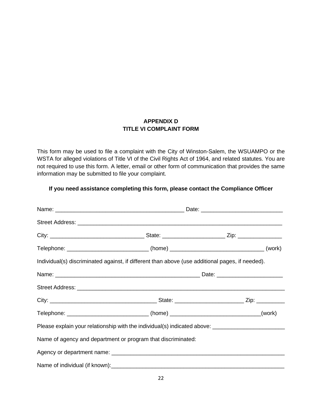# **APPENDIX D TITLE VI COMPLAINT FORM**

This form may be used to file a complaint with the City of Winston-Salem, the WSUAMPO or the WSTA for alleged violations of Title VI of the Civil Rights Act of 1964, and related statutes. You are not required to use this form. A letter, email or other form of communication that provides the same information may be submitted to file your complaint.

# **If you need assistance completing this form, please contact the Compliance Officer**

| Telephone: _______________________________(home) ________________________________(work)         |  |                                                                                                     |  |
|-------------------------------------------------------------------------------------------------|--|-----------------------------------------------------------------------------------------------------|--|
| Individual(s) discriminated against, if different than above (use additional pages, if needed). |  |                                                                                                     |  |
|                                                                                                 |  |                                                                                                     |  |
|                                                                                                 |  |                                                                                                     |  |
|                                                                                                 |  |                                                                                                     |  |
| Telephone: ______________________________(home) _______________________________(work)           |  |                                                                                                     |  |
|                                                                                                 |  | Please explain your relationship with the individual(s) indicated above: __________________________ |  |
| Name of agency and department or program that discriminated:                                    |  |                                                                                                     |  |
|                                                                                                 |  |                                                                                                     |  |
|                                                                                                 |  |                                                                                                     |  |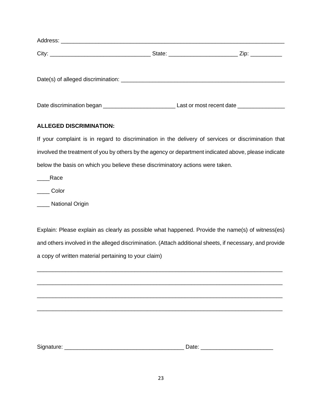| Date discrimination began | Last or most recent date _____________ |  |
|---------------------------|----------------------------------------|--|

# **ALLEGED DISCRIMINATION:**

If your complaint is in regard to discrimination in the delivery of services or discrimination that involved the treatment of you by others by the agency or department indicated above, please indicate below the basis on which you believe these discriminatory actions were taken.

\_\_\_\_Race

\_\_\_\_ Color

\_\_\_\_ National Origin

Explain: Please explain as clearly as possible what happened. Provide the name(s) of witness(es) and others involved in the alleged discrimination. (Attach additional sheets, if necessary, and provide a copy of written material pertaining to your claim)

\_\_\_\_\_\_\_\_\_\_\_\_\_\_\_\_\_\_\_\_\_\_\_\_\_\_\_\_\_\_\_\_\_\_\_\_\_\_\_\_\_\_\_\_\_\_\_\_\_\_\_\_\_\_\_\_\_\_\_\_\_\_\_\_\_\_\_\_\_\_\_\_\_\_\_\_\_\_

\_\_\_\_\_\_\_\_\_\_\_\_\_\_\_\_\_\_\_\_\_\_\_\_\_\_\_\_\_\_\_\_\_\_\_\_\_\_\_\_\_\_\_\_\_\_\_\_\_\_\_\_\_\_\_\_\_\_\_\_\_\_\_\_\_\_\_\_\_\_\_\_\_\_\_\_\_\_

\_\_\_\_\_\_\_\_\_\_\_\_\_\_\_\_\_\_\_\_\_\_\_\_\_\_\_\_\_\_\_\_\_\_\_\_\_\_\_\_\_\_\_\_\_\_\_\_\_\_\_\_\_\_\_\_\_\_\_\_\_\_\_\_\_\_\_\_\_\_\_\_\_\_\_\_\_\_

\_\_\_\_\_\_\_\_\_\_\_\_\_\_\_\_\_\_\_\_\_\_\_\_\_\_\_\_\_\_\_\_\_\_\_\_\_\_\_\_\_\_\_\_\_\_\_\_\_\_\_\_\_\_\_\_\_\_\_\_\_\_\_\_\_\_\_\_\_\_\_\_\_\_\_\_\_\_

Signature: \_\_\_\_\_\_\_\_\_\_\_\_\_\_\_\_\_\_\_\_\_\_\_\_\_\_\_\_\_\_\_\_\_\_\_\_\_\_ Date: \_\_\_\_\_\_\_\_\_\_\_\_\_\_\_\_\_\_\_\_\_\_\_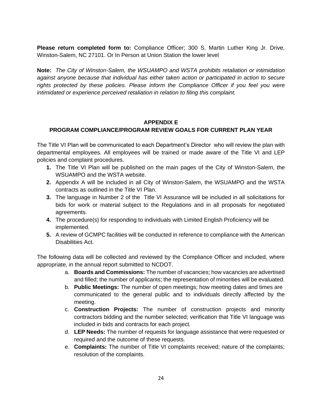**Please return completed form to:** Compliance Officer; 300 S. Martin Luther King Jr. Drive, Winston-Salem, NC 27101. Or In Person at Union Station the lower level

**Note:** *The City of Winston-Salem, the WSUAMPO and WSTA prohibits retaliation or intimidation against anyone because that individual has either taken action or participated in action to secure rights protected by these policies. Please inform the Compliance Officer if you feel you were intimidated or experience perceived retaliation in relation to filing this complaint.*

# **APPENDIX E**

# **PROGRAM COMPLIANCE/PROGRAM REVIEW GOALS FOR CURRENT PLAN YEAR**

The Title VI Plan will be communicated to each Department's Director who will review the plan with departmental employees. All employees will be trained or made aware of the Title VI and LEP policies and complaint procedures.

- **1.** The Title VI Plan will be published on the main pages of the City of Winston-Salem, the WSUAMPO and the WSTA website.
- **2.** Appendix A will be included in all City of Winston-Salem, the WSUAMPO and the WSTA contracts as outlined in the Title VI Plan.
- **3.** The language in Number 2 of the Title VI Assurance will be included in all solicitations for bids for work or material subject to the Regulations and in all proposals for negotiated agreements.
- **4.** The procedure(s) for responding to individuals with Limited English Proficiency will be implemented.
- **5.** A review of GCMPC facilities will be conducted in reference to compliance with the American Disabilities Act.

The following data will be collected and reviewed by the Compliance Officer and included, where appropriate, in the annual report submitted to NCDOT.

- a. **Boards and Commissions:** The number of vacancies; how vacancies are advertised and filled; the number of applicants; the representation of minorities will be evaluated.
- b. **Public Meetings:** The number of open meetings; how meeting dates and times are communicated to the general public and to individuals directly affected by the meeting.
- c. **Construction Projects:** The number of construction projects and minority contractors bidding and the number selected; verification that Title VI language was included in bids and contracts for each project.
- d. **LEP Needs:** The number of requests for language assistance that were requested or required and the outcome of these requests.
- e. **Complaints:** The number of Title VI complaints received; nature of the complaints; resolution of the complaints.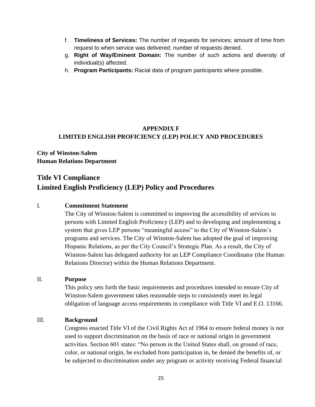- f. **Timeliness of Services:** The number of requests for services; amount of time from request to when service was delivered; number of requests denied.
- g. **Right of Way/Eminent Domain:** The number of such actions and diversity of individual(s) affected.
- h. **Program Participants:** Racial data of program participants where possible.

# **APPENDIX F LIMITED ENGLISH PROFICIENCY (LEP) POLICY AND PROCEDURES**

**City of Winston-Salem Human Relations Department**

# **Title VI Compliance Limited English Proficiency (LEP) Policy and Procedures**

# I. **Commitment Statement**

The City of Winston-Salem is committed to improving the accessibility of services to persons with Limited English Proficiency (LEP) and to developing and implementing a system that gives LEP persons "meaningful access" to the City of Winston-Salem's programs and services. The City of Winston-Salem has adopted the goal of improving Hispanic Relations, as per the City Council's Strategic Plan. As a result, the City of Winston-Salem has delegated authority for an LEP Compliance Coordinator (the Human Relations Director) within the Human Relations Department.

# II. **Purpose**

This policy sets forth the basic requirements and procedures intended to ensure City of Winston-Salem government takes reasonable steps to consistently meet its legal obligation of language access requirements in compliance with Title VI and E.O. 13166.

# III. **Background**

Congress enacted Title VI of the Civil Rights Act of 1964 to ensure federal money is not used to support discrimination on the basis of race or national origin in government activities. Section 601 states: "No person in the United States shall, on ground of race, color, or national origin, be excluded from participation in, be denied the benefits of, or be subjected to discrimination under any program or activity receiving Federal financial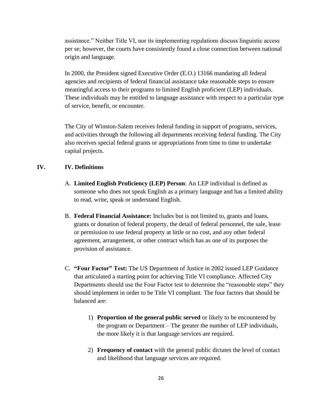assistance." Neither Title VI, nor its implementing regulations discuss linguistic access per se; however, the courts have consistently found a close connection between national origin and language.

In 2000, the President signed Executive Order (E.O.) 13166 mandating all federal agencies and recipients of federal financial assistance take reasonable steps to ensure meaningful access to their programs to limited English proficient (LEP) individuals. These individuals may be entitled to language assistance with respect to a particular type of service, benefit, or encounter.

The City of Winston-Salem receives federal funding in support of programs, services, and activities through the following all departments receiving federal funding. The City also receives special federal grants or appropriations from time to time to undertake capital projects.

# **IV. IV. Definitions**

- A. **Limited English Proficiency (LEP) Person**: An LEP individual is defined as someone who does not speak English as a primary language and has a limited ability to read, write, speak or understand English.
- B. **Federal Financial Assistance:** Includes but is not limited to, grants and loans, grants or donation of federal property, the detail of federal personnel, the sale, lease or permission to use federal property at little or no cost, and any other federal agreement, arrangement, or other contract which has as one of its purposes the provision of assistance.
- C. **"Four Factor" Test:** The US Department of Justice in 2002 issued LEP Guidance that articulated a starting point for achieving Title VI compliance. Affected City Departments should use the Four Factor test to determine the "reasonable steps" they should implement in order to be Title VI compliant. The four factors that should be balanced are:
	- 1) **Proportion of the general public served** or likely to be encountered by the program or Department – The greater the number of LEP individuals, the more likely it is that language services are required.
	- 2) **Frequency of contact** with the general public dictates the level of contact and likelihood that language services are required.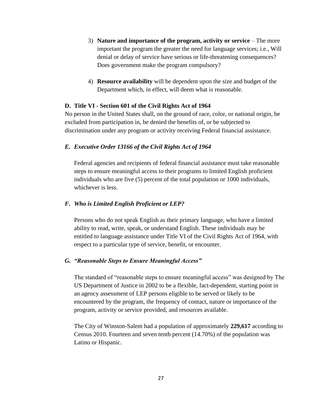- 3) **Nature and importance of the program, activity or service** The more important the program the greater the need for language services; i.e., Will denial or delay of service have serious or life-threatening consequences? Does government make the program compulsory?
- 4) **Resource availability** will be dependent upon the size and budget of the Department which, in effect, will deem what is reasonable.

#### **D. Title VI - Section 601 of the Civil Rights Act of 1964**

No person in the United States shall, on the ground of race, color, or national origin, be excluded from participation in, be denied the benefits of, or be subjected to discrimination under any program or activity receiving Federal financial assistance.

#### *E. Executive Order 13166 of the Civil Rights Act of 1964*

Federal agencies and recipients of federal financial assistance must take reasonable steps to ensure meaningful access to their programs to limited English proficient individuals who are five (5) percent of the total population or 1000 individuals, whichever is less.

#### *F. Who is Limited English Proficient or LEP?*

Persons who do not speak English as their primary language, who have a limited ability to read, write, speak, or understand English. These individuals may be entitled to language assistance under Title VI of the Civil Rights Act of 1964, with respect to a particular type of service, benefit, or encounter.

#### *G. "Reasonable Steps to Ensure Meaningful Access"*

The standard of "reasonable steps to ensure meaningful access" was designed by The US Department of Justice in 2002 to be a flexible, fact-dependent, starting point in an agency assessment of LEP persons eligible to be served or likely to be encountered by the program, the frequency of contact, nature or importance of the program, activity or service provided, and resources available.

The City of Winston-Salem had a population of approximately **229,617** according to Census 2010. Fourteen and seven tenth percent (14.70%) of the population was Latino or Hispanic.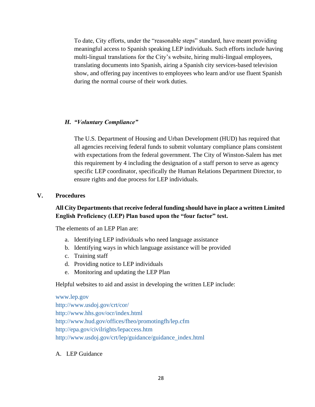To date, City efforts, under the "reasonable steps" standard, have meant providing meaningful access to Spanish speaking LEP individuals. Such efforts include having multi-lingual translations for the City's website, hiring multi-lingual employees, translating documents into Spanish, airing a Spanish city services-based television show, and offering pay incentives to employees who learn and/or use fluent Spanish during the normal course of their work duties.

# *H. "Voluntary Compliance"*

The U.S. Department of Housing and Urban Development (HUD) has required that all agencies receiving federal funds to submit voluntary compliance plans consistent with expectations from the federal government. The City of Winston-Salem has met this requirement by 4 including the designation of a staff person to serve as agency specific LEP coordinator, specifically the Human Relations Department Director, to ensure rights and due process for LEP individuals.

#### **V. Procedures**

# **All City Departments that receive federal funding should have in place a written Limited English Proficiency (LEP) Plan based upon the "four factor" test.**

The elements of an LEP Plan are:

- a. Identifying LEP individuals who need language assistance
- b. Identifying ways in which language assistance will be provided
- c. Training staff
- d. Providing notice to LEP individuals
- e. Monitoring and updating the LEP Plan

Helpful websites to aid and assist in developing the written LEP include:

# [www.lep.gov](http://www.lep.gov/) <http://www.usdoj.gov/crt/cor/> <http://www.hhs.gov/ocr/index.html>

<http://www.hud.gov/offices/fheo/promotingfh/lep.cfm> <http://epa.gov/civilrights/lepaccess.htm> [http://www.usdoj.gov/crt/lep/guidance/guidance\\_index.html](http://www.usdoj.gov/crt/lep/guidance/guidance_index.html)

A. LEP Guidance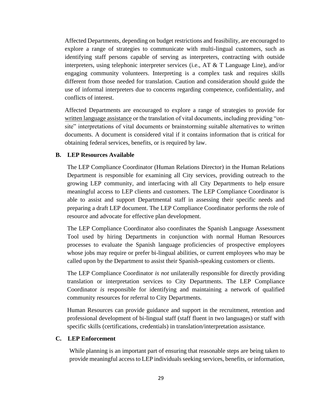Affected Departments, depending on budget restrictions and feasibility, are encouraged to explore a range of strategies to communicate with multi-lingual customers, such as identifying staff persons capable of serving as interpreters, contracting with outside interpreters, using telephonic interpreter services (i.e., AT & T Language Line), and/or engaging community volunteers. Interpreting is a complex task and requires skills different from those needed for translation. Caution and consideration should guide the use of informal interpreters due to concerns regarding competence, confidentiality, and conflicts of interest.

Affected Departments are encouraged to explore a range of strategies to provide for written language assistance or the translation of vital documents, including providing "onsite" interpretations of vital documents or brainstorming suitable alternatives to written documents. A document is considered vital if it contains information that is critical for obtaining federal services, benefits, or is required by law.

#### **B. LEP Resources Available**

The LEP Compliance Coordinator (Human Relations Director) in the Human Relations Department is responsible for examining all City services, providing outreach to the growing LEP community, and interfacing with all City Departments to help ensure meaningful access to LEP clients and customers. The LEP Compliance Coordinator is able to assist and support Departmental staff in assessing their specific needs and preparing a draft LEP document. The LEP Compliance Coordinator performs the role of resource and advocate for effective plan development.

The LEP Compliance Coordinator also coordinates the Spanish Language Assessment Tool used by hiring Departments in conjunction with normal Human Resources processes to evaluate the Spanish language proficiencies of prospective employees whose jobs may require or prefer bi-lingual abilities, or current employees who may be called upon by the Department to assist their Spanish-speaking customers or clients.

The LEP Compliance Coordinator *is not* unilaterally responsible for directly providing translation or interpretation services to City Departments. The LEP Compliance Coordinator *is* responsible for identifying and maintaining a network of qualified community resources for referral to City Departments.

Human Resources can provide guidance and support in the recruitment, retention and professional development of bi-lingual staff (staff fluent in two languages) or staff with specific skills (certifications, credentials) in translation/interpretation assistance.

#### **C. LEP Enforcement**

While planning is an important part of ensuring that reasonable steps are being taken to provide meaningful access to LEP individuals seeking services, benefits, or information,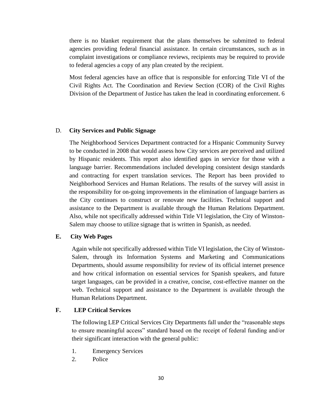there is no blanket requirement that the plans themselves be submitted to federal agencies providing federal financial assistance. In certain circumstances, such as in complaint investigations or compliance reviews, recipients may be required to provide to federal agencies a copy of any plan created by the recipient.

Most federal agencies have an office that is responsible for enforcing Title VI of the Civil Rights Act. The Coordination and Review Section (COR) of the Civil Rights Division of the Department of Justice has taken the lead in coordinating enforcement. 6

#### D. **City Services and Public Signage**

The Neighborhood Services Department contracted for a Hispanic Community Survey to be conducted in 2008 that would assess how City services are perceived and utilized by Hispanic residents. This report also identified gaps in service for those with a language barrier. Recommendations included developing consistent design standards and contracting for expert translation services. The Report has been provided to Neighborhood Services and Human Relations. The results of the survey will assist in the responsibility for on-going improvements in the elimination of language barriers as the City continues to construct or renovate new facilities. Technical support and assistance to the Department is available through the Human Relations Department. Also, while not specifically addressed within Title VI legislation, the City of Winston-Salem may choose to utilize signage that is written in Spanish, as needed.

# **E. City Web Pages**

Again while not specifically addressed within Title VI legislation, the City of Winston-Salem, through its Information Systems and Marketing and Communications Departments, should assume responsibility for review of its official internet presence and how critical information on essential services for Spanish speakers, and future target languages, can be provided in a creative, concise, cost-effective manner on the web. Technical support and assistance to the Department is available through the Human Relations Department.

#### **F. LEP Critical Services**

The following LEP Critical Services City Departments fall under the "reasonable steps to ensure meaningful access" standard based on the receipt of federal funding and/or their significant interaction with the general public:

- 1. Emergency Services
- 2. Police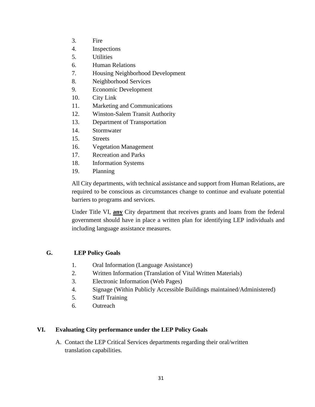- 3. Fire
- 4. Inspections
- 5. Utilities
- 6. Human Relations
- 7. Housing Neighborhood Development
- 8. Neighborhood Services
- 9. Economic Development
- 10. City Link
- 11. Marketing and Communications
- 12. Winston-Salem Transit Authority
- 13. Department of Transportation
- 14. Stormwater
- 15. Streets
- 16. Vegetation Management
- 17. Recreation and Parks
- 18. Information Systems
- 19. Planning

All City departments, with technical assistance and support from Human Relations, are required to be conscious as circumstances change to continue and evaluate potential barriers to programs and services.

Under Title VI, **any** City department that receives grants and loans from the federal government should have in place a written plan for identifying LEP individuals and including language assistance measures.

# **G. LEP Policy Goals**

- 1. Oral Information (Language Assistance)
- 2. Written Information (Translation of Vital Written Materials)
- 3. Electronic Information (Web Pages)
- 4. Signage (Within Publicly Accessible Buildings maintained/Administered)
- 5. Staff Training
- 6. Outreach

# **VI. Evaluating City performance under the LEP Policy Goals**

A. Contact the LEP Critical Services departments regarding their oral/written translation capabilities.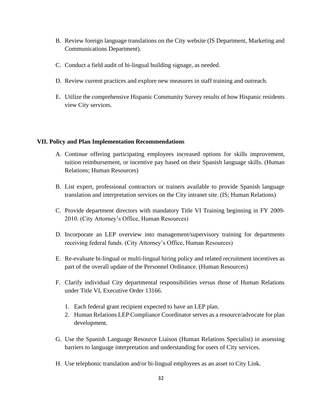- B. Review foreign language translations on the City website (IS Department, Marketing and Communications Department).
- C. Conduct a field audit of bi-lingual building signage, as needed.
- D. Review current practices and explore new measures in staff training and outreach.
- E. Utilize the comprehensive Hispanic Community Survey results of how Hispanic residents view City services.

# **VII. Policy and Plan Implementation Recommendations**

- A. Continue offering participating employees increased options for skills improvement, tuition reimbursement, or incentive pay based on their Spanish language skills. (Human Relations; Human Resources)
- B. List expert, professional contractors or trainers available to provide Spanish language translation and interpretation services on the City intranet site. (IS; Human Relations)
- C. Provide department directors with mandatory Title VI Training beginning in FY 2009- 2010. (City Attorney's Office, Human Resources)
- D. Incorporate an LEP overview into management/supervisory training for departments receiving federal funds. (City Attorney's Office, Human Resources)
- E. Re-evaluate bi-lingual or multi-lingual hiring policy and related recruitment incentives as part of the overall update of the Personnel Ordinance. (Human Resources)
- F. Clarify individual City departmental responsibilities versus those of Human Relations under Title VI, Executive Order 13166.
	- 1. Each federal grant recipient expected to have an LEP plan.
	- 2. Human Relations LEP Compliance Coordinator serves as a resource/advocate for plan development.
- G. Use the Spanish Language Resource Liaison (Human Relations Specialist) in assessing barriers to language interpretation and understanding for users of City services.
- H. Use telephonic translation and/or bi-lingual employees as an asset to City Link.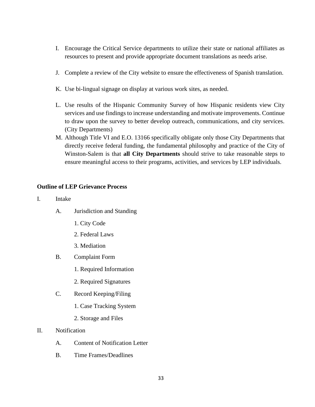- I. Encourage the Critical Service departments to utilize their state or national affiliates as resources to present and provide appropriate document translations as needs arise.
- J. Complete a review of the City website to ensure the effectiveness of Spanish translation.
- K. Use bi-lingual signage on display at various work sites, as needed.
- L. Use results of the Hispanic Community Survey of how Hispanic residents view City services and use findings to increase understanding and motivate improvements. Continue to draw upon the survey to better develop outreach, communications, and city services. (City Departments)
- M. Although Title VI and E.O. 13166 specifically obligate only those City Departments that directly receive federal funding, the fundamental philosophy and practice of the City of Winston-Salem is that **all City Departments** should strive to take reasonable steps to ensure meaningful access to their programs, activities, and services by LEP individuals.

# **Outline of LEP Grievance Process**

- I. Intake
	- A. Jurisdiction and Standing
		- 1. City Code
		- 2. Federal Laws
		- 3. Mediation
	- B. Complaint Form
		- 1. Required Information
		- 2. Required Signatures
	- C. Record Keeping/Filing
		- 1. Case Tracking System
		- 2. Storage and Files
- II. Notification
	- A. Content of Notification Letter
	- B. Time Frames/Deadlines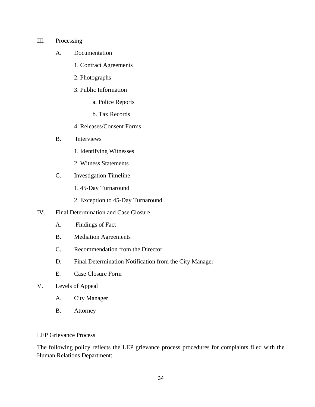#### III. Processing

- A. Documentation
	- 1. Contract Agreements
	- 2. Photographs
	- 3. Public Information
		- a. Police Reports
		- b. Tax Records
	- 4. Releases/Consent Forms
- B. Interviews
	- 1. Identifying Witnesses
	- 2. Witness Statements
- C. Investigation Timeline
	- 1. 45-Day Turnaround
	- 2. Exception to 45-Day Turnaround
- IV. Final Determination and Case Closure
	- A. Findings of Fact
	- B. Mediation Agreements
	- C. Recommendation from the Director
	- D. Final Determination Notification from the City Manager
	- E. Case Closure Form
- V. Levels of Appeal
	- A. City Manager
	- B. Attorney

# LEP Grievance Process

The following policy reflects the LEP grievance process procedures for complaints filed with the Human Relations Department: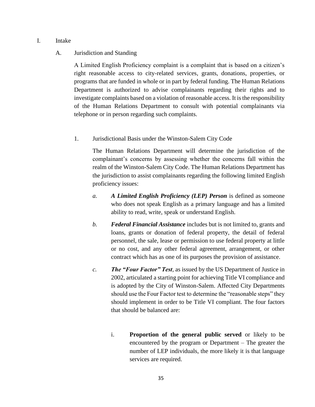#### I. Intake

# A. Jurisdiction and Standing

A Limited English Proficiency complaint is a complaint that is based on a citizen's right reasonable access to city-related services, grants, donations, properties, or programs that are funded in whole or in part by federal funding. The Human Relations Department is authorized to advise complainants regarding their rights and to investigate complaints based on a violation of reasonable access. It is the responsibility of the Human Relations Department to consult with potential complainants via telephone or in person regarding such complaints.

# 1. Jurisdictional Basis under the Winston-Salem City Code

The Human Relations Department will determine the jurisdiction of the complainant's concerns by assessing whether the concerns fall within the realm of the Winston-Salem City Code. The Human Relations Department has the jurisdiction to assist complainants regarding the following limited English proficiency issues:

- *a. A Limited English Proficiency (LEP) Person* is defined as someone who does not speak English as a primary language and has a limited ability to read, write, speak or understand English.
- *b. Federal Financial Assistance* includes but is not limited to, grants and loans, grants or donation of federal property, the detail of federal personnel, the sale, lease or permission to use federal property at little or no cost, and any other federal agreement, arrangement, or other contract which has as one of its purposes the provision of assistance.
- *c. The "Four Factor" Test*, as issued by the US Department of Justice in 2002, articulated a starting point for achieving Title VI compliance and is adopted by the City of Winston-Salem. Affected City Departments should use the Four Factor test to determine the "reasonable steps" they should implement in order to be Title VI compliant. The four factors that should be balanced are:
	- i. **Proportion of the general public served** or likely to be encountered by the program or Department – The greater the number of LEP individuals, the more likely it is that language services are required.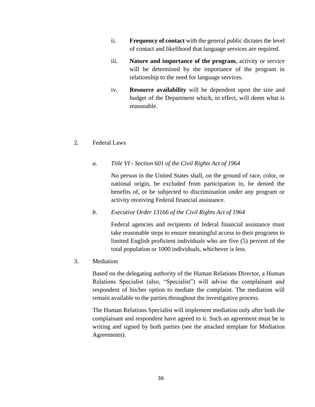- ii. **Frequency of contact** with the general public dictates the level of contact and likelihood that language services are required.
- iii. **Nature and importance of the program**, activity or service will be determined by the importance of the program in relationship to the need for language services.
- iv. **Resource availability** will be dependent upon the size and budget of the Department which, in effect, will deem what is reasonable.

#### 2. Federal Laws

#### *a. Title VI - Section 601 of the Civil Rights Act of 1964*

No person in the United States shall, on the ground of race, color, or national origin, be excluded from participation in, be denied the benefits of, or be subjected to discrimination under any program or activity receiving Federal financial assistance.

*b. Executive Order 13166 of the Civil Rights Act of 1964* 

Federal agencies and recipients of federal financial assistance must take reasonable steps to ensure meaningful access to their programs to limited English proficient individuals who are five (5) percent of the total population or 1000 individuals, whichever is less.

3. Mediation

Based on the delegating authority of the Human Relations Director, a Human Relations Specialist (also, "Specialist") will advise the complainant and respondent of his/her option to mediate the complaint. The mediation will remain available to the parties throughout the investigative process.

The Human Relations Specialist will implement mediation only after both the complainant and respondent have agreed to it. Such an agreement must be in writing and signed by both parties (see the attached template for Mediation Agreements).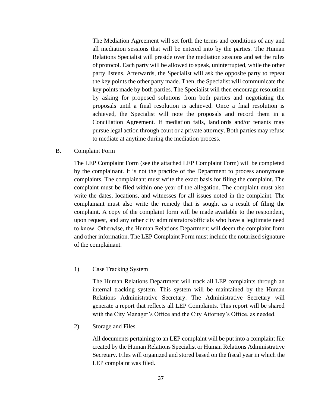The Mediation Agreement will set forth the terms and conditions of any and all mediation sessions that will be entered into by the parties. The Human Relations Specialist will preside over the mediation sessions and set the rules of protocol. Each party will be allowed to speak, uninterrupted, while the other party listens. Afterwards, the Specialist will ask the opposite party to repeat the key points the other party made. Then, the Specialist will communicate the key points made by both parties. The Specialist will then encourage resolution by asking for proposed solutions from both parties and negotiating the proposals until a final resolution is achieved. Once a final resolution is achieved, the Specialist will note the proposals and record them in a Conciliation Agreement. If mediation fails, landlords and/or tenants may pursue legal action through court or a private attorney. Both parties may refuse to mediate at anytime during the mediation process.

B. Complaint Form

The LEP Complaint Form (see the attached LEP Complaint Form) will be completed by the complainant. It is not the practice of the Department to process anonymous complaints. The complainant must write the exact basis for filing the complaint. The complaint must be filed within one year of the allegation. The complaint must also write the dates, locations, and witnesses for all issues noted in the complaint. The complainant must also write the remedy that is sought as a result of filing the complaint. A copy of the complaint form will be made available to the respondent, upon request, and any other city administrators/officials who have a legitimate need to know. Otherwise, the Human Relations Department will deem the complaint form and other information. The LEP Complaint Form must include the notarized signature of the complainant.

1) Case Tracking System

The Human Relations Department will track all LEP complaints through an internal tracking system. This system will be maintained by the Human Relations Administrative Secretary. The Administrative Secretary will generate a report that reflects all LEP Complaints. This report will be shared with the City Manager's Office and the City Attorney's Office, as needed.

2) Storage and Files

All documents pertaining to an LEP complaint will be put into a complaint file created by the Human Relations Specialist or Human Relations Administrative Secretary. Files will organized and stored based on the fiscal year in which the LEP complaint was filed.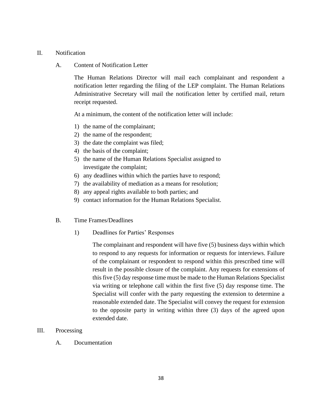#### II. Notification

#### A. Content of Notification Letter

The Human Relations Director will mail each complainant and respondent a notification letter regarding the filing of the LEP complaint. The Human Relations Administrative Secretary will mail the notification letter by certified mail, return receipt requested.

At a minimum, the content of the notification letter will include:

- 1) the name of the complainant;
- 2) the name of the respondent;
- 3) the date the complaint was filed;
- 4) the basis of the complaint;
- 5) the name of the Human Relations Specialist assigned to investigate the complaint;
- 6) any deadlines within which the parties have to respond;
- 7) the availability of mediation as a means for resolution;
- 8) any appeal rights available to both parties; and
- 9) contact information for the Human Relations Specialist.
- B. Time Frames/Deadlines
	- 1) Deadlines for Parties' Responses

The complainant and respondent will have five (5) business days within which to respond to any requests for information or requests for interviews. Failure of the complainant or respondent to respond within this prescribed time will result in the possible closure of the complaint. Any requests for extensions of this five (5) day response time must be made to the Human Relations Specialist via writing or telephone call within the first five (5) day response time. The Specialist will confer with the party requesting the extension to determine a reasonable extended date. The Specialist will convey the request for extension to the opposite party in writing within three (3) days of the agreed upon extended date.

# III. Processing

A. Documentation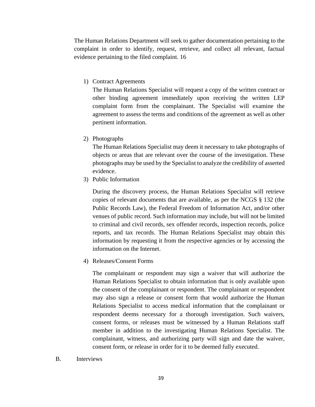The Human Relations Department will seek to gather documentation pertaining to the complaint in order to identify, request, retrieve, and collect all relevant, factual evidence pertaining to the filed complaint. 16

1) Contract Agreements

The Human Relations Specialist will request a copy of the written contract or other binding agreement immediately upon receiving the written LEP complaint form from the complainant. The Specialist will examine the agreement to assess the terms and conditions of the agreement as well as other pertinent information.

2) Photographs

The Human Relations Specialist may deem it necessary to take photographs of objects or areas that are relevant over the course of the investigation. These photographs may be used by the Specialist to analyze the credibility of asserted evidence.

3) Public Information

During the discovery process, the Human Relations Specialist will retrieve copies of relevant documents that are available, as per the NCGS § 132 (the Public Records Law), the Federal Freedom of Information Act, and/or other venues of public record. Such information may include, but will not be limited to criminal and civil records, sex offender records, inspection records, police reports, and tax records. The Human Relations Specialist may obtain this information by requesting it from the respective agencies or by accessing the information on the Internet.

4) Releases/Consent Forms

The complainant or respondent may sign a waiver that will authorize the Human Relations Specialist to obtain information that is only available upon the consent of the complainant or respondent. The complainant or respondent may also sign a release or consent form that would authorize the Human Relations Specialist to access medical information that the complainant or respondent deems necessary for a thorough investigation. Such waivers, consent forms, or releases must be witnessed by a Human Relations staff member in addition to the investigating Human Relations Specialist. The complainant, witness, and authorizing party will sign and date the waiver, consent form, or release in order for it to be deemed fully executed.

B. Interviews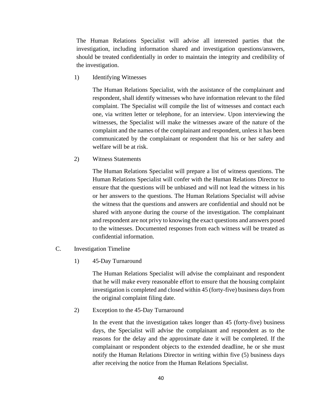The Human Relations Specialist will advise all interested parties that the investigation, including information shared and investigation questions/answers, should be treated confidentially in order to maintain the integrity and credibility of the investigation.

1) Identifying Witnesses

The Human Relations Specialist, with the assistance of the complainant and respondent, shall identify witnesses who have information relevant to the filed complaint. The Specialist will compile the list of witnesses and contact each one, via written letter or telephone, for an interview. Upon interviewing the witnesses, the Specialist will make the witnesses aware of the nature of the complaint and the names of the complainant and respondent, unless it has been communicated by the complainant or respondent that his or her safety and welfare will be at risk.

2) Witness Statements

The Human Relations Specialist will prepare a list of witness questions. The Human Relations Specialist will confer with the Human Relations Director to ensure that the questions will be unbiased and will not lead the witness in his or her answers to the questions. The Human Relations Specialist will advise the witness that the questions and answers are confidential and should not be shared with anyone during the course of the investigation. The complainant and respondent are not privy to knowing the exact questions and answers posed to the witnesses. Documented responses from each witness will be treated as confidential information.

- C. Investigation Timeline
	- 1) 45-Day Turnaround

The Human Relations Specialist will advise the complainant and respondent that he will make every reasonable effort to ensure that the housing complaint investigation is completed and closed within 45 (forty-five) business days from the original complaint filing date.

2) Exception to the 45-Day Turnaround

In the event that the investigation takes longer than 45 (forty-five) business days, the Specialist will advise the complainant and respondent as to the reasons for the delay and the approximate date it will be completed. If the complainant or respondent objects to the extended deadline, he or she must notify the Human Relations Director in writing within five (5) business days after receiving the notice from the Human Relations Specialist.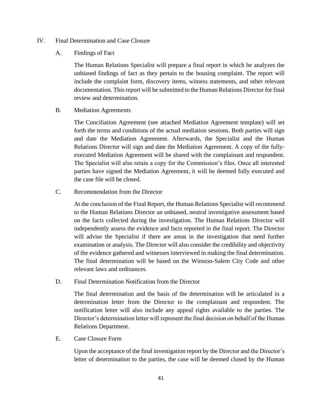- IV. Final Determination and Case Closure
	- A. Findings of Fact

The Human Relations Specialist will prepare a final report in which he analyzes the unbiased findings of fact as they pertain to the housing complaint. The report will include the complaint form, discovery items, witness statements, and other relevant documentation. This report will be submitted to the Human Relations Director for final review and determination.

B. Mediation Agreements

The Conciliation Agreement (see attached Mediation Agreement template) will set forth the terms and conditions of the actual mediation sessions. Both parties will sign and date the Mediation Agreement. Afterwards, the Specialist and the Human Relations Director will sign and date the Mediation Agreement. A copy of the fullyexecuted Mediation Agreement will be shared with the complainant and respondent. The Specialist will also retain a copy for the Commission's files. Once all interested parties have signed the Mediation Agreement, it will be deemed fully executed and the case file will be closed.

C. Recommendation from the Director

At the conclusion of the Final Report, the Human Relations Specialist will recommend to the Human Relations Director an unbiased, neutral investigative assessment based on the facts collected during the investigation. The Human Relations Director will independently assess the evidence and facts reported in the final report. The Director will advise the Specialist if there are areas in the investigation that need further examination or analysis. The Director will also consider the credibility and objectivity of the evidence gathered and witnesses interviewed in making the final determination. The final determination will be based on the Winston-Salem City Code and other relevant laws and ordinances.

D. Final Determination Notification from the Director

The final determination and the basis of the determination will be articulated in a determination letter from the Director to the complainant and respondent. The notification letter will also include any appeal rights available to the parties. The Director's determination letter will represent the final decision on behalf of the Human Relations Department.

E. Case Closure Form

Upon the acceptance of the final investigation report by the Director and the Director's letter of determination to the parties, the case will be deemed closed by the Human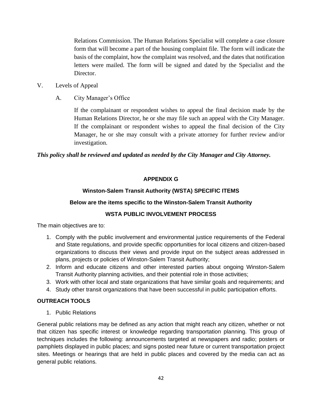Relations Commission. The Human Relations Specialist will complete a case closure form that will become a part of the housing complaint file. The form will indicate the basis of the complaint, how the complaint was resolved, and the dates that notification letters were mailed. The form will be signed and dated by the Specialist and the Director.

- V. Levels of Appeal
	- A. City Manager's Office

If the complainant or respondent wishes to appeal the final decision made by the Human Relations Director, he or she may file such an appeal with the City Manager. If the complainant or respondent wishes to appeal the final decision of the City Manager, he or she may consult with a private attorney for further review and/or investigation.

# *This policy shall be reviewed and updated as needed by the City Manager and City Attorney.*

# **APPENDIX G**

# **Winston-Salem Transit Authority (WSTA) SPECIFIC ITEMS**

#### **Below are the items specific to the Winston-Salem Transit Authority**

# **WSTA PUBLIC INVOLVEMENT PROCESS**

The main objectives are to:

- 1. Comply with the public involvement and environmental justice requirements of the Federal and State regulations, and provide specific opportunities for local citizens and citizen-based organizations to discuss their views and provide input on the subject areas addressed in plans, projects or policies of Winston-Salem Transit Authority;
- 2. Inform and educate citizens and other interested parties about ongoing Winston-Salem Transit Authority planning activities, and their potential role in those activities;
- 3. Work with other local and state organizations that have similar goals and requirements; and
- 4. Study other transit organizations that have been successful in public participation efforts.

#### **OUTREACH TOOLS**

1. Public Relations

General public relations may be defined as any action that might reach any citizen, whether or not that citizen has specific interest or knowledge regarding transportation planning. This group of techniques includes the following: announcements targeted at newspapers and radio; posters or pamphlets displayed in public places; and signs posted near future or current transportation project sites. Meetings or hearings that are held in public places and covered by the media can act as general public relations.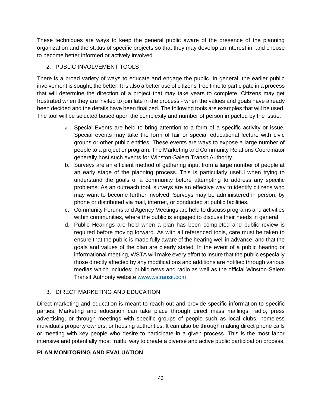These techniques are ways to keep the general public aware of the presence of the planning organization and the status of specific projects so that they may develop an interest in, and choose to become better informed or actively involved.

# 2. PUBLIC INVOLVEMENT TOOLS

There is a broad variety of ways to educate and engage the public. In general, the earlier public involvement is sought, the better. It is also a better use of citizens' free time to participate in a process that will determine the direction of a project that may take years to complete. Citizens may get frustrated when they are invited to join late in the process - when the values and goals have already been decided and the details have been finalized. The following tools are examples that will be used. The tool will be selected based upon the complexity and number of person impacted by the issue.

- a. Special Events are held to bring attention to a form of a specific activity or issue. Special events may take the form of fair or special educational lecture with civic groups or other public entities. These events are ways to expose a large number of people to a project or program. The Marketing and Community Relations Coordinator generally host such events for Winston-Salem Transit Authority.
- b. Surveys are an efficient method of gathering input from a large number of people at an early stage of the planning process. This is particularly useful when trying to understand the goals of a community before attempting to address any specific problems. As an outreach tool, surveys are an effective way to identify citizens who may want to become further involved. Surveys may be administered in person, by phone or distributed via mail, internet, or conducted at public facilities.
- c. Community Forums and Agency Meetings are held to discuss programs and activities within communities, where the public is engaged to discuss their needs in general.
- d. Public Hearings are held when a plan has been completed and public review is required before moving forward. As with all referenced tools, care must be taken to ensure that the public is made fully aware of the hearing well in advance, and that the goals and values of the plan are clearly stated. In the event of a public hearing or informational meeting, WSTA will make every effort to insure that the public especially those directly affected by any modifications and additions are notified through various medias which includes: public news and radio as well as the official Winston-Salem Transit Authority website [www.wstransit.com](http://www.wstransit.com/)

# 3. DIRECT MARKETING AND EDUCATION

Direct marketing and education is meant to reach out and provide specific information to specific parties. Marketing and education can take place through direct mass mailings, radio, press advertising, or through meetings with specific groups of people such as local clubs, homeless individuals property owners, or housing authorities. It can also be through making direct phone calls or meeting with key people who desire to participate in a given process. This is the most labor intensive and potentially most fruitful way to create a diverse and active public participation process.

# **PLAN MONITORING AND EVALUATION**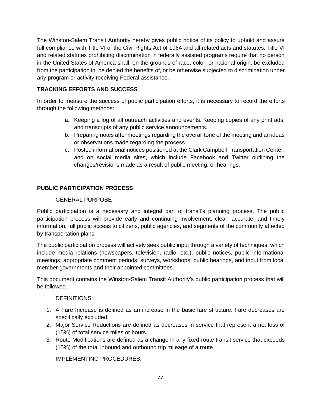The Winston-Salem Transit Authority hereby gives public notice of its policy to uphold and assure full compliance with Title VI of the Civil Rights Act of 1964 and all related acts and statutes. Title VI and related statutes prohibiting discrimination in federally assisted programs require that no person in the United States of America shall, on the grounds of race, color, or national origin, be excluded from the participation in, be denied the benefits of, or be otherwise subjected to discrimination under any program or activity receiving Federal assistance.

# **TRACKING EFFORTS AND SUCCESS**

In order to measure the success of public participation efforts, it is necessary to record the efforts through the following methods:

- a. Keeping a log of all outreach activities and events. Keeping copies of any print ads, and transcripts of any public service announcements.
- b. Preparing notes after meetings regarding the overall tone of the meeting and an ideas or observations made regarding the process
- c. Posted informational notices positioned at the Clark Campbell Transportation Center, and on social media sites, which include Facebook and Twitter outlining the changes/revisions made as a result of public meeting, or hearings.

# **PUBLIC PARTICIPATION PROCESS**

# GENERAL PURPOSE

Public participation is a necessary and integral part of transit's planning process. The public participation process will provide early and continuing involvement; clear, accurate, and timely information; full public access to citizens, public agencies, and segments of the community affected by transportation plans.

The public participation process will actively seek public input through a variety of techniques, which include media relations (newspapers, television, radio, etc.), public notices, public informational meetings, appropriate comment periods, surveys, workshops, public hearings, and input from local member governments and their appointed committees.

This document contains the Winston-Salem Transit Authority's public participation process that will be followed.

# DEFINITIONS:

- 1. A Fare Increase is defined as an increase in the basic fare structure. Fare decreases are specifically excluded.
- 2. Major Service Reductions are defined as decreases in service that represent a net loss of (15%) of total service miles or hours.
- 3. Route Modifications are defined as a change in any fixed-route transit service that exceeds (15%) of the total inbound and outbound trip mileage of a route

IMPLEMENTING PROCEDURES: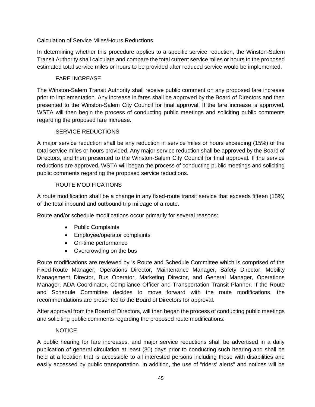# Calculation of Service Miles/Hours Reductions

In determining whether this procedure applies to a specific service reduction, the Winston-Salem Transit Authority shall calculate and compare the total current service miles or hours to the proposed estimated total service miles or hours to be provided after reduced service would be implemented.

# FARE INCREASE

The Winston-Salem Transit Authority shall receive public comment on any proposed fare increase prior to implementation. Any increase in fares shall be approved by the Board of Directors and then presented to the Winston-Salem City Council for final approval. If the fare increase is approved, WSTA will then begin the process of conducting public meetings and soliciting public comments regarding the proposed fare increase.

# SERVICE REDUCTIONS

A major service reduction shall be any reduction in service miles or hours exceeding (15%) of the total service miles or hours provided. Any major service reduction shall be approved by the Board of Directors, and then presented to the Winston-Salem City Council for final approval. If the service reductions are approved, WSTA will began the process of conducting public meetings and soliciting public comments regarding the proposed service reductions.

# ROUTE MODIFICATIONS

A route modification shall be a change in any fixed-route transit service that exceeds fifteen (15%) of the total inbound and outbound trip mileage of a route.

Route and/or schedule modifications occur primarily for several reasons:

- Public Complaints
- Employee/operator complaints
- On-time performance
- Overcrowding on the bus

Route modifications are reviewed by 's Route and Schedule Committee which is comprised of the Fixed-Route Manager, Operations Director, Maintenance Manager, Safety Director, Mobility Management Director, Bus Operator, Marketing Director, and General Manager, Operations Manager, ADA Coordinator, Compliance Officer and Transportation Transit Planner. If the Route and Schedule Committee decides to move forward with the route modifications, the recommendations are presented to the Board of Directors for approval.

After approval from the Board of Directors, will then began the process of conducting public meetings and soliciting public comments regarding the proposed route modifications.

# NOTICE

A public hearing for fare increases, and major service reductions shall be advertised in a daily publication of general circulation at least (30) days prior to conducting such hearing and shall be held at a location that is accessible to all interested persons including those with disabilities and easily accessed by public transportation. In addition, the use of "riders' alerts" and notices will be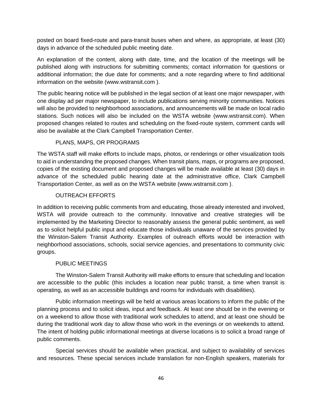posted on board fixed-route and para-transit buses when and where, as appropriate, at least (30) days in advance of the scheduled public meeting date.

An explanation of the content, along with date, time, and the location of the meetings will be published along with instructions for submitting comments; contact information for questions or additional information; the due date for comments; and a note regarding where to find additional information on the website (www.wstransit.com ).

The public hearing notice will be published in the legal section of at least one major newspaper, with one display ad per major newspaper, to include publications serving minority communities. Notices will also be provided to neighborhood associations, and announcements will be made on local radio stations. Such notices will also be included on the WSTA website (www.wstransit.com). When proposed changes related to routes and scheduling on the fixed-route system, comment cards will also be available at the Clark Campbell Transportation Center.

# PLANS, MAPS, OR PROGRAMS

The WSTA staff will make efforts to include maps, photos, or renderings or other visualization tools to aid in understanding the proposed changes. When transit plans, maps, or programs are proposed, copies of the existing document and proposed changes will be made available at least (30) days in advance of the scheduled public hearing date at the administrative office, Clark Campbell Transportation Center, as well as on the WSTA website (www.wstransit.com ).

# OUTREACH EFFORTS

In addition to receiving public comments from and educating, those already interested and involved, WSTA will provide outreach to the community. Innovative and creative strategies will be implemented by the Marketing Director to reasonably assess the general public sentiment, as well as to solicit helpful public input and educate those individuals unaware of the services provided by the Winston-Salem Transit Authority. Examples of outreach efforts would be interaction with neighborhood associations, schools, social service agencies, and presentations to community civic groups.

# PUBLIC MEETINGS

The Winston-Salem Transit Authority will make efforts to ensure that scheduling and location are accessible to the public (this includes a location near public transit, a time when transit is operating, as well as an accessible buildings and rooms for individuals with disabilities).

Public information meetings will be held at various areas locations to inform the public of the planning process and to solicit ideas, input and feedback. At least one should be in the evening or on a weekend to allow those with traditional work schedules to attend, and at least one should be during the traditional work day to allow those who work in the evenings or on weekends to attend. The intent of holding public informational meetings at diverse locations is to solicit a broad range of public comments.

Special services should be available when practical, and subject to availability of services and resources. These special services include translation for non-English speakers, materials for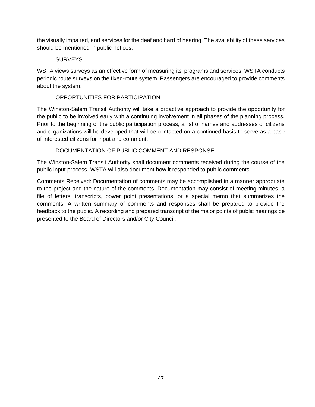the visually impaired, and services for the deaf and hard of hearing. The availability of these services should be mentioned in public notices.

# **SURVEYS**

WSTA views surveys as an effective form of measuring its' programs and services. WSTA conducts periodic route surveys on the fixed-route system. Passengers are encouraged to provide comments about the system.

# OPPORTUNITIES FOR PARTICIPATION

The Winston-Salem Transit Authority will take a proactive approach to provide the opportunity for the public to be involved early with a continuing involvement in all phases of the planning process. Prior to the beginning of the public participation process, a list of names and addresses of citizens and organizations will be developed that will be contacted on a continued basis to serve as a base of interested citizens for input and comment.

# DOCUMENTATION OF PUBLIC COMMENT AND RESPONSE

The Winston-Salem Transit Authority shall document comments received during the course of the public input process. WSTA will also document how it responded to public comments.

Comments Received: Documentation of comments may be accomplished in a manner appropriate to the project and the nature of the comments. Documentation may consist of meeting minutes, a file of letters, transcripts, power point presentations, or a special memo that summarizes the comments. A written summary of comments and responses shall be prepared to provide the feedback to the public. A recording and prepared transcript of the major points of public hearings be presented to the Board of Directors and/or City Council.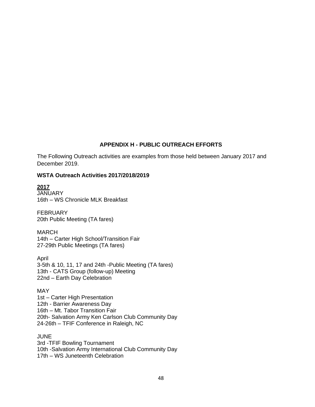# **APPENDIX H - PUBLIC OUTREACH EFFORTS**

The Following Outreach activities are examples from those held between January 2017 and December 2019.

#### **WSTA Outreach Activities 2017/2018/2019**

# **2017**

JANUARY 16th – WS Chronicle MLK Breakfast

FEBRUARY 20th Public Meeting (TA fares)

MARCH 14th – Carter High School/Transition Fair 27-29th Public Meetings (TA fares)

April 3-5th & 10, 11, 17 and 24th -Public Meeting (TA fares) 13th - CATS Group (follow-up) Meeting 22nd – Earth Day Celebration

MAY 1st – Carter High Presentation 12th - Barrier Awareness Day 16th – Mt. Tabor Transition Fair 20th- Salvation Army Ken Carlson Club Community Day 24-26th – TFIF Conference in Raleigh, NC

**JUNE** 3rd -TFIF Bowling Tournament 10th -Salvation Army International Club Community Day 17th – WS Juneteenth Celebration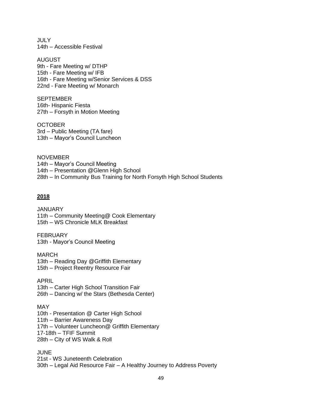JULY 14th – Accessible Festival

AUGUST 9th - Fare Meeting w/ DTHP 15th - Fare Meeting w/ IFB 16th - Fare Meeting w/Senior Services & DSS 22nd - Fare Meeting w/ Monarch

**SEPTEMBER** 16th- Hispanic Fiesta 27th – Forsyth in Motion Meeting

**OCTOBER** 3rd – Public Meeting (TA fare) 13th – Mayor's Council Luncheon

**NOVEMBER** 14th – Mayor's Council Meeting 14th – Presentation @Glenn High School 28th – In Community Bus Training for North Forsyth High School Students

# **2018**

JANUARY 11th – Community Meeting@ Cook Elementary 15th – WS Chronicle MLK Breakfast

FEBRUARY 13th - Mayor's Council Meeting

MARCH 13th – Reading Day @Griffith Elementary 15th – Project Reentry Resource Fair

APRIL 13th – Carter High School Transition Fair 26th – Dancing w/ the Stars (Bethesda Center)

MAY

10th - Presentation @ Carter High School

11th – Barrier Awareness Day

17th – Volunteer Luncheon@ Griffith Elementary

17-18th – TFIF Summit

28th – City of WS Walk & Roll

JUNE

21st - WS Juneteenth Celebration 30th – Legal Aid Resource Fair – A Healthy Journey to Address Poverty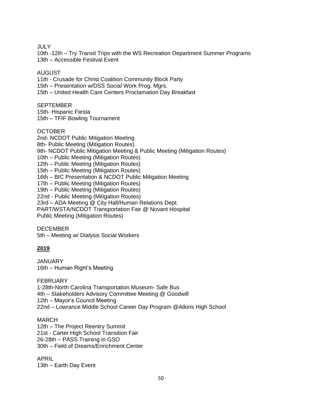**JULY** 

10th -12th – Try Transit Trips with the WS Recreation Department Summer Programs 13th – Accessible Festival Event

#### AUGUST

11th - Crusade for Christ Coalition Community Block Party 15th – Presentation w/DSS Social Work Prog. Mgrs.

15th – United Health Care Centers Proclamation Day Breakfast

# **SEPTEMBER**

15th- Hispanic Fiesta 15th – TFIF Bowling Tournament

# **OCTOBER**

2nd- NCDOT Public Mitigation Meeting 8th- Public Meeting (Mitigation Routes) 9th- NCDOT Public Mitigation Meeting & Public Meeting (Mitigation Routes) 10th – Public Meeting (Mitigation Routes) 12th – Public Meeting (Mitigation Routes) 15th – Public Meeting (Mitigation Routes) 16th – BIC Presentation & NCDOT Public Mitigation Meeting 17th – Public Meeting (Mitigation Routes) 19th – Public Meeting (Mitigation Routes) 22nd - Public Meeting (Mitigation Routes) 23rd – ADA Meeting @ City Hall/Human Relations Dept. PART/WSTA/NCDOT Transportation Fair @ Novant Hospital Public Meeting (Mitigation Routes)

# DECEMBER

5th – Meeting w/ Dialysis Social Workers

# **2019**

JANUARY 16th – Human Right's Meeting

FEBRUARY

1-28th-North Carolina Transportation Museum- Safe Bus 4th – Stakeholders Advisory Committee Meeting @ Goodwill 12th – Mayor's Council Meeting 22nd – Lowrance Middle School Career Day Program @Atkins High School

# MARCH

12th – The Project Reentry Summit 21st - Carter High School Transition Fair 26-28th – PASS Training in GSO 30th – Field of Dreams/Enrichment Center

APRIL 13th – Earth Day Event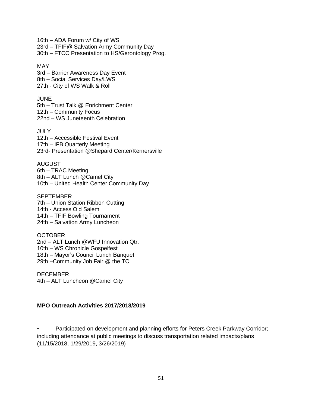16th – ADA Forum w/ City of WS 23rd – TFIF@ Salvation Army Community Day 30th – FTCC Presentation to HS/Gerontology Prog.

MAY 3rd – Barrier Awareness Day Event 8th – Social Services Day/LWS 27th - City of WS Walk & Roll

**JUNE** 5th – Trust Talk @ Enrichment Center 12th – Community Focus 22nd – WS Juneteenth Celebration

JULY 12th – Accessible Festival Event 17th – IFB Quarterly Meeting 23rd- Presentation @Shepard Center/Kernersville

AUGUST 6th – TRAC Meeting 8th – ALT Lunch @Camel City 10th – United Health Center Community Day

SEPTEMBER 7th – Union Station Ribbon Cutting 14th - Access Old Salem 14th – TFIF Bowling Tournament 24th – Salvation Army Luncheon

**OCTOBER** 2nd – ALT Lunch @WFU Innovation Qtr. 10th – WS Chronicle Gospelfest 18th – Mayor's Council Lunch Banquet 29th –Community Job Fair @ the TC

DECEMBER 4th – ALT Luncheon @Camel City

# **MPO Outreach Activities 2017/2018/2019**

Participated on development and planning efforts for Peters Creek Parkway Corridor; including attendance at public meetings to discuss transportation related impacts/plans (11/15/2018, 1/29/2019, 3/26/2019)